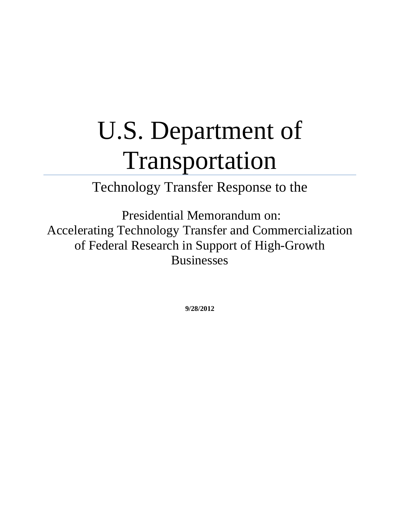# U.S. Department of Transportation

Technology Transfer Response to the

 Presidential Memorandum on: Accelerating Technology Transfer and Commercialization of Federal Research in Support of High-Growth Businesses

**9/28/2012**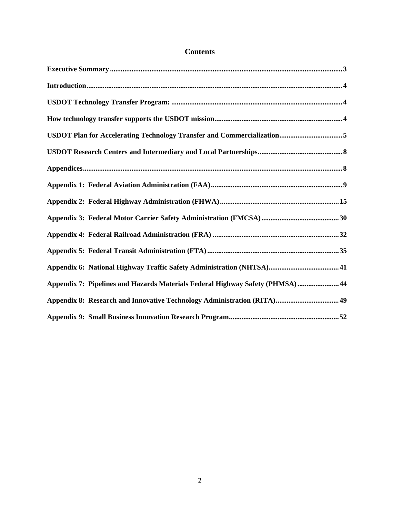| USDOT Plan for Accelerating Technology Transfer and Commercialization5       |  |
|------------------------------------------------------------------------------|--|
|                                                                              |  |
|                                                                              |  |
|                                                                              |  |
|                                                                              |  |
|                                                                              |  |
|                                                                              |  |
|                                                                              |  |
|                                                                              |  |
| Appendix 7: Pipelines and Hazards Materials Federal Highway Safety (PHMSA)44 |  |
| Appendix 8: Research and Innovative Technology Administration (RITA) 49      |  |
|                                                                              |  |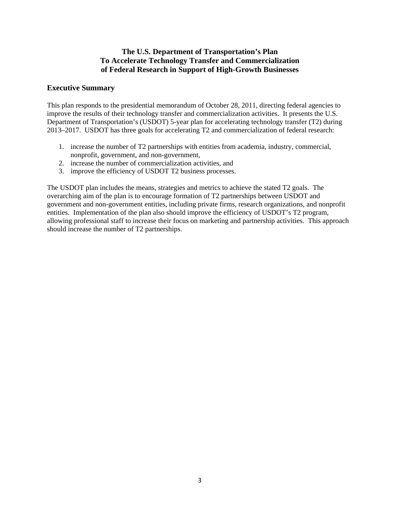# **The U.S. Department of Transportation's Plan To Accelerate Technology Transfer and Commercialization of Federal Research in Support of High-Growth Businesses**

# **Executive Summary**

This plan responds to the presidential memorandum of October 28, 2011, directing federal agencies to improve the results of their technology transfer and commercialization activities. It presents the U.S. Department of Transportation's (USDOT) 5-year plan for accelerating technology transfer (T2) during 2013–2017. USDOT has three goals for accelerating T2 and commercialization of federal research:

- 1. increase the number of T2 partnerships with entities from academia, industry, commercial, nonprofit, government, and non-government,
- 2. increase the number of commercialization activities, and
- 3. improve the efficiency of USDOT T2 business processes.

The USDOT plan includes the means, strategies and metrics to achieve the stated T2 goals. The overarching aim of the plan is to encourage formation of T2 partnerships between USDOT and government and non-government entities, including private firms, research organizations, and nonprofit entities. Implementation of the plan also should improve the efficiency of USDOT's T2 program, allowing professional staff to increase their focus on marketing and partnership activities. This approach should increase the number of T2 partnerships.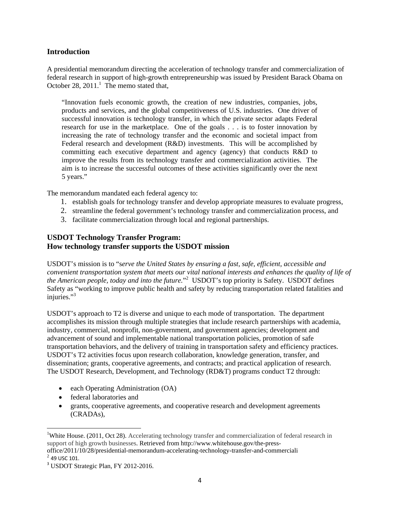# **Introduction**

A presidential memorandum directing the acceleration of technology transfer and commercialization of federal research in support of high-growth entrepreneurship was issued by President Barack Obama on October 28,  $2011$ .<sup>1</sup> The memo stated that,

"Innovation fuels economic growth, the creation of new industries, companies, jobs, products and services, and the global competitiveness of U.S. industries. One driver of successful innovation is technology transfer, in which the private sector adapts Federal research for use in the marketplace. One of the goals . . . is to foster innovation by increasing the rate of technology transfer and the economic and societal impact from Federal research and development (R&D) investments. This will be accomplished by committing each executive department and agency (agency) that conducts R&D to improve the results from its technology transfer and commercialization activities. The aim is to increase the successful outcomes of these activities significantly over the next 5 years."

The memorandum mandated each federal agency to:

- 1. establish goals for technology transfer and develop appropriate measures to evaluate progress,
- 2. streamline the federal government's technology transfer and commercialization process, and
- 3. facilitate commercialization through local and regional partnerships.

# **USDOT Technology Transfer Program: How technology transfer supports the USDOT mission**

USDOT's mission is to "s*erve the United States by ensuring a fast, safe, efficient, accessible and convenient transportation system that meets our vital national interests and enhances the quality of life of*  the American people, today and into the future."<sup>2</sup> USDOT's top priority is Safety. USDOT defines Safety as "working to improve public health and safety by reducing transportation related fatalities and injuries."3

USDOT's approach to T2 is diverse and unique to each mode of transportation. The department accomplishes its mission through multiple strategies that include research partnerships with academia, industry, commercial, nonprofit, non-government, and government agencies; development and advancement of sound and implementable national transportation policies, promotion of safe transportation behaviors, and the delivery of training in transportation safety and efficiency practices. USDOT's T2 activities focus upon research collaboration, knowledge generation, transfer, and dissemination; grants, cooperative agreements, and contracts; and practical application of research. The USDOT Research, Development, and Technology (RD&T) programs conduct T2 through:

- each Operating Administration (OA)
- federal laboratories and

 grants, cooperative agreements, and cooperative research and development agreements (CRADAs),

<sup>&</sup>lt;sup>1</sup>White House. (2011, Oct 28). Accelerating technology transfer and commercialization of federal research in support of high growth businesses. Retrieved from http://www.whitehouse.gov/the-press-

office/2011/10/28/presidential-memorandum-accelerating-technology-transfer-and-commerciali<sup>2</sup> 49 USC 101.<br><sup>3</sup> USDOT Strategic Plan, FY 2012-2016.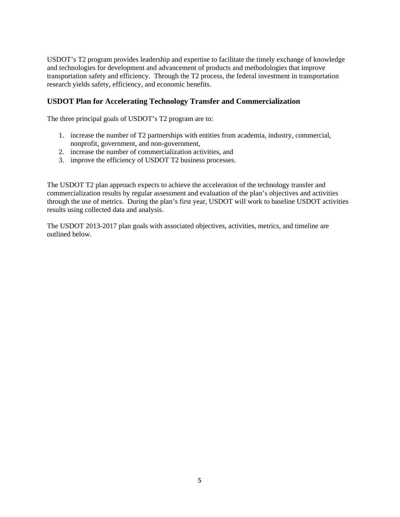USDOT's T2 program provides leadership and expertise to facilitate the timely exchange of knowledge and technologies for development and advancement of products and methodologies that improve transportation safety and efficiency. Through the T2 process, the federal investment in transportation research yields safety, efficiency, and economic benefits.

# **USDOT Plan for Accelerating Technology Transfer and Commercialization**

The three principal goals of USDOT's T2 program are to:

- 1. increase the number of T2 partnerships with entities from academia, industry, commercial, nonprofit, government, and non-government,
- 2. increase the number of commercialization activities, and
- 3. improve the efficiency of USDOT T2 business processes.

The USDOT T2 plan approach expects to achieve the acceleration of the technology transfer and commercialization results by regular assessment and evaluation of the plan's objectives and activities through the use of metrics. During the plan's first year, USDOT will work to baseline USDOT activities results using collected data and analysis.

The USDOT 2013-2017 plan goals with associated objectives, activities, metrics, and timeline are outlined below.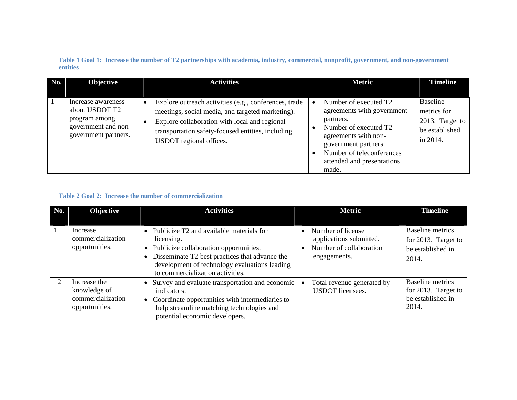**Table 1 Goal 1: Increase the number of T2 partnerships with academia, industry, commercial, nonprofit, government, and non-government entities** 

| No. | Objective                                                                                            | <b>Activities</b>                                                                                                                                                                                                                                       | <b>Metric</b>                                                                                                                                                                                                 | <b>Timeline</b>                                                                    |
|-----|------------------------------------------------------------------------------------------------------|---------------------------------------------------------------------------------------------------------------------------------------------------------------------------------------------------------------------------------------------------------|---------------------------------------------------------------------------------------------------------------------------------------------------------------------------------------------------------------|------------------------------------------------------------------------------------|
|     | Increase awareness<br>about USDOT T2<br>program among<br>government and non-<br>government partners. | Explore outreach activities (e.g., conferences, trade<br>$\bullet$<br>meetings, social media, and targeted marketing).<br>Explore collaboration with local and regional<br>transportation safety-focused entities, including<br>USDOT regional offices. | Number of executed T2<br>agreements with government<br>partners.<br>Number of executed T2<br>agreements with non-<br>government partners.<br>Number of teleconferences<br>attended and presentations<br>made. | <b>Baseline</b><br>metrics for<br>2013. Target to<br>be established<br>in $2014$ . |

#### **Table 2 Goal 2: Increase the number of commercialization**

| No. | Objective                                                           | <b>Activities</b>                                                                                                                                                                                                                            | <b>Metric</b>                                                                           | <b>Timeline</b>                                                       |
|-----|---------------------------------------------------------------------|----------------------------------------------------------------------------------------------------------------------------------------------------------------------------------------------------------------------------------------------|-----------------------------------------------------------------------------------------|-----------------------------------------------------------------------|
|     | Increase<br>commercialization<br>opportunities.                     | Publicize T2 and available materials for<br>licensing.<br>Publicize collaboration opportunities.<br>٠<br>Disseminate T2 best practices that advance the<br>development of technology evaluations leading<br>to commercialization activities. | Number of license<br>applications submitted.<br>Number of collaboration<br>engagements. | Baseline metrics<br>for 2013. Target to<br>be established in<br>2014. |
|     | Increase the<br>knowledge of<br>commercialization<br>opportunities. | Survey and evaluate transportation and economic<br>indicators.<br>Coordinate opportunities with intermediaries to<br>$\bullet$<br>help streamline matching technologies and<br>potential economic developers.                                | Total revenue generated by<br><b>USDOT</b> licensees.                                   | Baseline metrics<br>for 2013. Target to<br>be established in<br>2014. |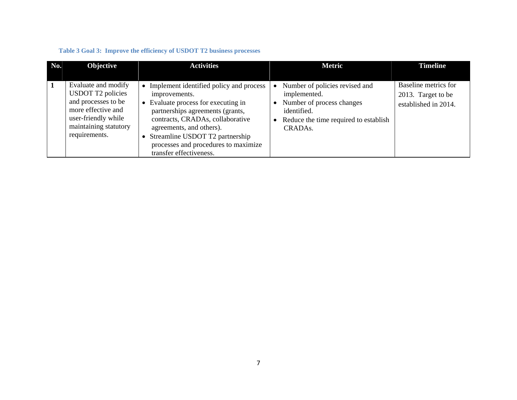# **Table 3 Goal 3: Improve the efficiency of USDOT T2 business processes**

| No. | <b>Objective</b>                                                                                                                                              | <b>Activities</b>                                                                                                                                                                                                                                                                                         | <b>Metric</b>                                                                                                                                               | <b>Timeline</b>                                                    |
|-----|---------------------------------------------------------------------------------------------------------------------------------------------------------------|-----------------------------------------------------------------------------------------------------------------------------------------------------------------------------------------------------------------------------------------------------------------------------------------------------------|-------------------------------------------------------------------------------------------------------------------------------------------------------------|--------------------------------------------------------------------|
|     | Evaluate and modify<br><b>USDOT T2 policies</b><br>and processes to be<br>more effective and<br>user-friendly while<br>maintaining statutory<br>requirements. | Implement identified policy and process<br>improvements.<br>• Evaluate process for executing in<br>partnerships agreements (grants,<br>contracts, CRADAs, collaborative<br>agreements, and others).<br>Streamline USDOT T2 partnership<br>processes and procedures to maximize<br>transfer effectiveness. | Number of policies revised and<br>implemented.<br>Number of process changes<br>identified.<br>Reduce the time required to establish<br>CRADA <sub>s</sub> . | Baseline metrics for<br>2013. Target to be<br>established in 2014. |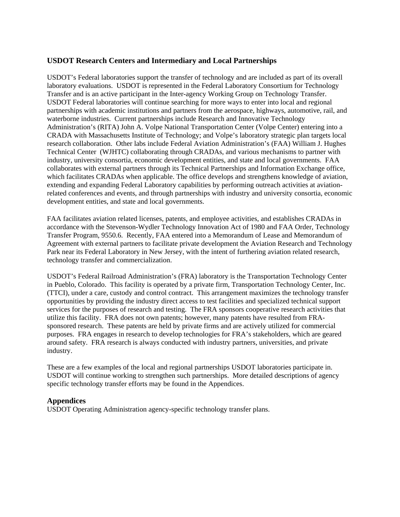# **USDOT Research Centers and Intermediary and Local Partnerships**

USDOT's Federal laboratories support the transfer of technology and are included as part of its overall laboratory evaluations. USDOT is represented in the Federal Laboratory Consortium for Technology Transfer and is an active participant in the Inter-agency Working Group on Technology Transfer. USDOT Federal laboratories will continue searching for more ways to enter into local and regional partnerships with academic institutions and partners from the aerospace, highways, automotive, rail, and waterborne industries. Current partnerships include Research and Innovative Technology Administration's (RITA) John A. Volpe National Transportation Center (Volpe Center) entering into a CRADA with Massachusetts Institute of Technology; and Volpe's laboratory strategic plan targets local research collaboration. Other labs include Federal Aviation Administration's (FAA) William J. Hughes Technical Center (WJHTC) collaborating through CRADAs, and various mechanisms to partner with industry, university consortia, economic development entities, and state and local governments. FAA collaborates with external partners through its Technical Partnerships and Information Exchange office, which facilitates CRADAs when applicable. The office develops and strengthens knowledge of aviation, extending and expanding Federal Laboratory capabilities by performing outreach activities at aviationrelated conferences and events, and through partnerships with industry and university consortia, economic development entities, and state and local governments.

FAA facilitates aviation related licenses, patents, and employee activities, and establishes CRADAs in accordance with the Stevenson-Wydler Technology Innovation Act of 1980 and FAA Order, Technology Transfer Program, 9550.6. Recently, FAA entered into a Memorandum of Lease and Memorandum of Agreement with external partners to facilitate private development the Aviation Research and Technology Park near its Federal Laboratory in New Jersey, with the intent of furthering aviation related research, technology transfer and commercialization.

USDOT's Federal Railroad Administration's (FRA) laboratory is the Transportation Technology Center in Pueblo, Colorado. This facility is operated by a private firm, Transportation Technology Center, Inc. (TTCI), under a care, custody and control contract. This arrangement maximizes the technology transfer opportunities by providing the industry direct access to test facilities and specialized technical support services for the purposes of research and testing. The FRA sponsors cooperative research activities that utilize this facility. FRA does not own patents; however, many patents have resulted from FRAsponsored research. These patents are held by private firms and are actively utilized for commercial purposes. FRA engages in research to develop technologies for FRA's stakeholders, which are geared around safety. FRA research is always conducted with industry partners, universities, and private industry.

These are a few examples of the local and regional partnerships USDOT laboratories participate in. USDOT will continue working to strengthen such partnerships. More detailed descriptions of agency specific technology transfer efforts may be found in the Appendices.

# **Appendices**

USDOT Operating Administration agency-specific technology transfer plans.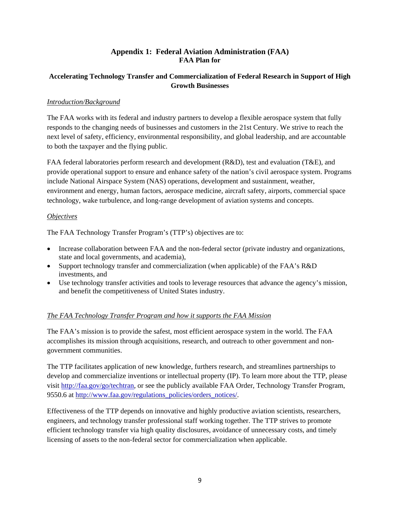# **Appendix 1: Federal Aviation Administration (FAA) FAA Plan for**

# **Accelerating Technology Transfer and Commercialization of Federal Research in Support of High Growth Businesses**

# *Introduction/Background*

The FAA works with its federal and industry partners to develop a flexible aerospace system that fully responds to the changing needs of businesses and customers in the 21st Century. We strive to reach the next level of safety, efficiency, environmental responsibility, and global leadership, and are accountable to both the taxpayer and the flying public.

FAA federal laboratories perform research and development (R&D), test and evaluation (T&E), and provide operational support to ensure and enhance safety of the nation's civil aerospace system. Programs include National Airspace System (NAS) operations, development and sustainment, weather, environment and energy, human factors, aerospace medicine, aircraft safety, airports, commercial space technology, wake turbulence, and long-range development of aviation systems and concepts.

# *Objectives*

The FAA Technology Transfer Program's (TTP's) objectives are to:

- Increase collaboration between FAA and the non-federal sector (private industry and organizations, state and local governments, and academia),
- Support technology transfer and commercialization (when applicable) of the FAA's R&D investments, and
- Use technology transfer activities and tools to leverage resources that advance the agency's mission, and benefit the competitiveness of United States industry.

# *The FAA Technology Transfer Program and how it supports the FAA Mission*

The FAA's mission is to provide the safest, most efficient aerospace system in the world. The FAA accomplishes its mission through acquisitions, research, and outreach to other government and nongovernment communities.

The TTP facilitates application of new knowledge, furthers research, and streamlines partnerships to develop and commercialize inventions or intellectual property (IP). To learn more about the TTP, please visit http://faa.gov/go/techtran, or see the publicly available FAA Order, Technology Transfer Program, 9550.6 at http://www.faa.gov/regulations\_policies/orders\_notices/.

Effectiveness of the TTP depends on innovative and highly productive aviation scientists, researchers, engineers, and technology transfer professional staff working together. The TTP strives to promote efficient technology transfer via high quality disclosures, avoidance of unnecessary costs, and timely licensing of assets to the non-federal sector for commercialization when applicable.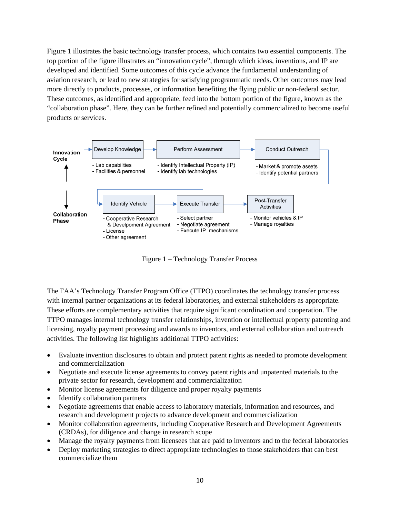Figure 1 illustrates the basic technology transfer process, which contains two essential components. The top portion of the figure illustrates an "innovation cycle", through which ideas, inventions, and IP are developed and identified. Some outcomes of this cycle advance the fundamental understanding of aviation research, or lead to new strategies for satisfying programmatic needs. Other outcomes may lead more directly to products, processes, or information benefiting the flying public or non-federal sector. These outcomes, as identified and appropriate, feed into the bottom portion of the figure, known as the "collaboration phase". Here, they can be further refined and potentially commercialized to become useful products or services.



Figure 1 – Technology Transfer Process

The FAA's Technology Transfer Program Office (TTPO) coordinates the technology transfer process with internal partner organizations at its federal laboratories, and external stakeholders as appropriate. These efforts are complementary activities that require significant coordination and cooperation. The TTPO manages internal technology transfer relationships, invention or intellectual property patenting and licensing, royalty payment processing and awards to inventors, and external collaboration and outreach activities. The following list highlights additional TTPO activities:

- Evaluate invention disclosures to obtain and protect patent rights as needed to promote development and commercialization
- Negotiate and execute license agreements to convey patent rights and unpatented materials to the private sector for research, development and commercialization
- Monitor license agreements for diligence and proper royalty payments
- Identify collaboration partners
- Negotiate agreements that enable access to laboratory materials, information and resources, and research and development projects to advance development and commercialization
- Monitor collaboration agreements, including Cooperative Research and Development Agreements (CRDAs), for diligence and change in research scope
- Manage the royalty payments from licensees that are paid to inventors and to the federal laboratories
- Deploy marketing strategies to direct appropriate technologies to those stakeholders that can best commercialize them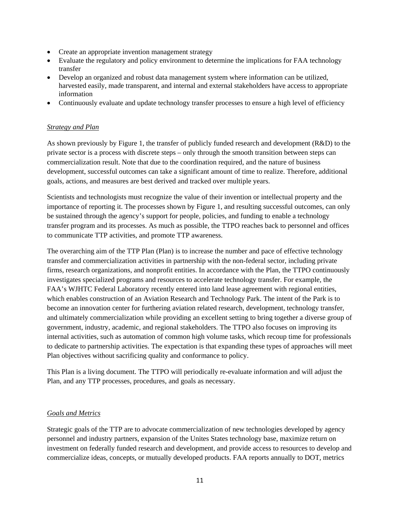- Create an appropriate invention management strategy
- Evaluate the regulatory and policy environment to determine the implications for FAA technology transfer
- Develop an organized and robust data management system where information can be utilized, harvested easily, made transparent, and internal and external stakeholders have access to appropriate information
- Continuously evaluate and update technology transfer processes to ensure a high level of efficiency

# *Strategy and Plan*

As shown previously by Figure 1, the transfer of publicly funded research and development (R&D) to the private sector is a process with discrete steps – only through the smooth transition between steps can commercialization result. Note that due to the coordination required, and the nature of business development, successful outcomes can take a significant amount of time to realize. Therefore, additional goals, actions, and measures are best derived and tracked over multiple years.

Scientists and technologists must recognize the value of their invention or intellectual property and the importance of reporting it. The processes shown by Figure 1, and resulting successful outcomes, can only be sustained through the agency's support for people, policies, and funding to enable a technology transfer program and its processes. As much as possible, the TTPO reaches back to personnel and offices to communicate TTP activities, and promote TTP awareness.

The overarching aim of the TTP Plan (Plan) is to increase the number and pace of effective technology transfer and commercialization activities in partnership with the non-federal sector, including private firms, research organizations, and nonprofit entities. In accordance with the Plan, the TTPO continuously investigates specialized programs and resources to accelerate technology transfer. For example, the FAA's WJHTC Federal Laboratory recently entered into land lease agreement with regional entities, which enables construction of an Aviation Research and Technology Park. The intent of the Park is to become an innovation center for furthering aviation related research, development, technology transfer, and ultimately commercialization while providing an excellent setting to bring together a diverse group of government, industry, academic, and regional stakeholders. The TTPO also focuses on improving its internal activities, such as automation of common high volume tasks, which recoup time for professionals to dedicate to partnership activities. The expectation is that expanding these types of approaches will meet Plan objectives without sacrificing quality and conformance to policy.

This Plan is a living document. The TTPO will periodically re-evaluate information and will adjust the Plan, and any TTP processes, procedures, and goals as necessary.

# *Goals and Metrics*

Strategic goals of the TTP are to advocate commercialization of new technologies developed by agency personnel and industry partners, expansion of the Unites States technology base, maximize return on investment on federally funded research and development, and provide access to resources to develop and commercialize ideas, concepts, or mutually developed products. FAA reports annually to DOT, metrics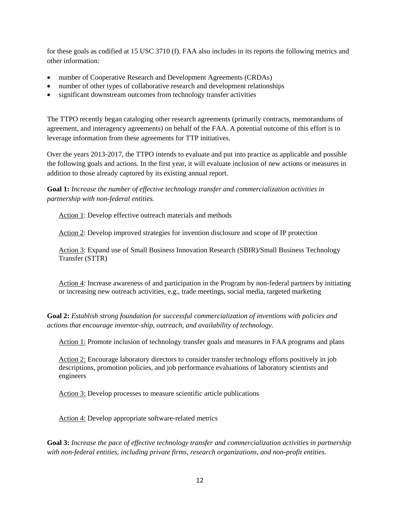for these goals as codified at 15 USC 3710 (f). FAA also includes in its reports the following metrics and other information:

- number of Cooperative Research and Development Agreements (CRDAs)
- number of other types of collaborative research and development relationships
- significant downstream outcomes from technology transfer activities

The TTPO recently began cataloging other research agreements (primarily contracts, memorandums of agreement, and interagency agreements) on behalf of the FAA. A potential outcome of this effort is to leverage information from these agreements for TTP initiatives.

Over the years 2013-2017, the TTPO intends to evaluate and put into practice as applicable and possible the following goals and actions. In the first year, it will evaluate inclusion of new actions or measures in addition to those already captured by its existing annual report.

**Goal 1:** *Increase the number of effective technology transfer and commercialization activities in partnership with non-federal entities.* 

Action 1: Develop effective outreach materials and methods

Action 2: Develop improved strategies for invention disclosure and scope of IP protection

Action 3: Expand use of Small Business Innovation Research (SBIR)/Small Business Technology Transfer (STTR)

Action 4: Increase awareness of and participation in the Program by non-federal partners by initiating or increasing new outreach activities, e.g., trade meetings, social media, targeted marketing

**Goal 2:** *Establish strong foundation for successful commercialization of inventions with policies and actions that encourage inventor-ship, outreach, and availability of technology.*

Action 1: Promote inclusion of technology transfer goals and measures in FAA programs and plans

Action 2: Encourage laboratory directors to consider transfer technology efforts positively in job descriptions, promotion policies, and job performance evaluations of laboratory scientists and engineers

Action 3: Develop processes to measure scientific article publications

Action 4: Develop appropriate software-related metrics

**Goal 3:** *Increase the pace of effective technology transfer and commercialization activities in partnership with non-federal entities, including private firms, research organizations, and non-profit entities.*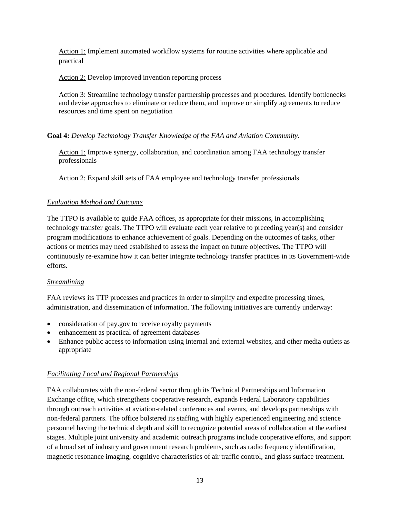Action 1: Implement automated workflow systems for routine activities where applicable and practical

Action 2: Develop improved invention reporting process

Action 3: Streamline technology transfer partnership processes and procedures. Identify bottlenecks and devise approaches to eliminate or reduce them, and improve or simplify agreements to reduce resources and time spent on negotiation

# **Goal 4:** *Develop Technology Transfer Knowledge of the FAA and Aviation Community.*

Action 1: Improve synergy, collaboration, and coordination among FAA technology transfer professionals

Action 2: Expand skill sets of FAA employee and technology transfer professionals

# *Evaluation Method and Outcome*

The TTPO is available to guide FAA offices, as appropriate for their missions, in accomplishing technology transfer goals. The TTPO will evaluate each year relative to preceding year(s) and consider program modifications to enhance achievement of goals. Depending on the outcomes of tasks, other actions or metrics may need established to assess the impact on future objectives. The TTPO will continuously re-examine how it can better integrate technology transfer practices in its Government-wide efforts.

# *Streamlining*

FAA reviews its TTP processes and practices in order to simplify and expedite processing times, administration, and dissemination of information. The following initiatives are currently underway:

- consideration of pay.gov to receive royalty payments
- enhancement as practical of agreement databases
- Enhance public access to information using internal and external websites, and other media outlets as appropriate

# *Facilitating Local and Regional Partnerships*

FAA collaborates with the non-federal sector through its Technical Partnerships and Information Exchange office, which strengthens cooperative research, expands Federal Laboratory capabilities through outreach activities at aviation-related conferences and events, and develops partnerships with non-federal partners. The office bolstered its staffing with highly experienced engineering and science personnel having the technical depth and skill to recognize potential areas of collaboration at the earliest stages. Multiple joint university and academic outreach programs include cooperative efforts, and support of a broad set of industry and government research problems, such as radio frequency identification, magnetic resonance imaging, cognitive characteristics of air traffic control, and glass surface treatment.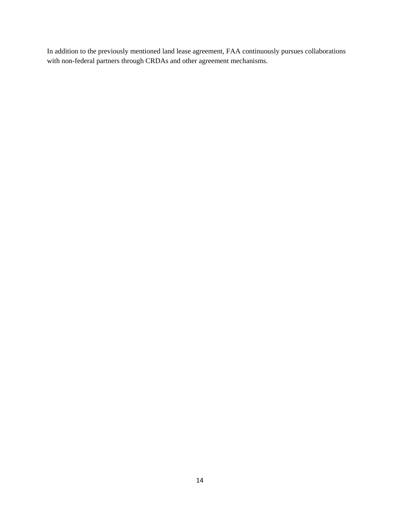In addition to the previously mentioned land lease agreement, FAA continuously pursues collaborations with non-federal partners through CRDAs and other agreement mechanisms.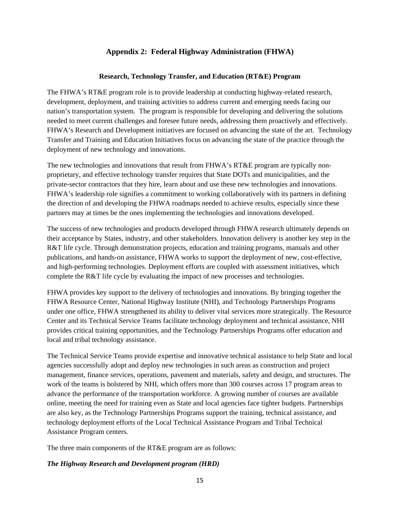# **Appendix 2: Federal Highway Administration (FHWA)**

#### **Research, Technology Transfer, and Education (RT&E) Program**

The FHWA's RT&E program role is to provide leadership at conducting highway-related research, development, deployment, and training activities to address current and emerging needs facing our nation's transportation system. The program is responsible for developing and delivering the solutions needed to meet current challenges and foresee future needs, addressing them proactively and effectively. FHWA's Research and Development initiatives are focused on advancing the state of the art. Technology Transfer and Training and Education Initiatives focus on advancing the state of the practice through the deployment of new technology and innovations.

The new technologies and innovations that result from FHWA's RT&E program are typically nonproprietary, and effective technology transfer requires that State DOTs and municipalities, and the private-sector contractors that they hire, learn about and use these new technologies and innovations. FHWA's leadership role signifies a commitment to working collaboratively with its partners in defining the direction of and developing the FHWA roadmaps needed to achieve results, especially since these partners may at times be the ones implementing the technologies and innovations developed.

The success of new technologies and products developed through FHWA research ultimately depends on their acceptance by States, industry, and other stakeholders. Innovation delivery is another key step in the R&T life cycle. Through demonstration projects, education and training programs, manuals and other publications, and hands-on assistance, FHWA works to support the deployment of new, cost-effective, and high-performing technologies. Deployment efforts are coupled with assessment initiatives, which complete the R&T life cycle by evaluating the impact of new processes and technologies.

FHWA provides key support to the delivery of technologies and innovations. By bringing together the FHWA Resource Center, National Highway Institute (NHI), and Technology Partnerships Programs under one office, FHWA strengthened its ability to deliver vital services more strategically. The Resource Center and its Technical Service Teams facilitate technology deployment and technical assistance, NHI provides critical training opportunities, and the Technology Partnerships Programs offer education and local and tribal technology assistance.

The Technical Service Teams provide expertise and innovative technical assistance to help State and local agencies successfully adopt and deploy new technologies in such areas as construction and project management, finance services, operations, pavement and materials, safety and design, and structures. The work of the teams is bolstered by NHI, which offers more than 300 courses across 17 program areas to advance the performance of the transportation workforce. A growing number of courses are available online, meeting the need for training even as State and local agencies face tighter budgets. Partnerships are also key, as the Technology Partnerships Programs support the training, technical assistance, and technology deployment efforts of the Local Technical Assistance Program and Tribal Technical Assistance Program centers.

The three main components of the RT&E program are as follows:

# *The Highway Research and Development program (HRD)*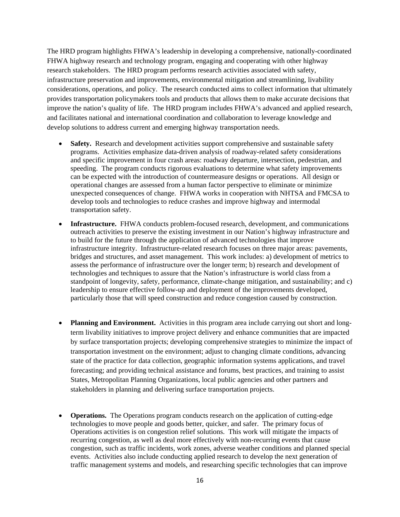The HRD program highlights FHWA's leadership in developing a comprehensive, nationally-coordinated FHWA highway research and technology program, engaging and cooperating with other highway research stakeholders. The HRD program performs research activities associated with safety, infrastructure preservation and improvements, environmental mitigation and streamlining, livability considerations, operations, and policy. The research conducted aims to collect information that ultimately provides transportation policymakers tools and products that allows them to make accurate decisions that improve the nation's quality of life. The HRD program includes FHWA's advanced and applied research, and facilitates national and international coordination and collaboration to leverage knowledge and develop solutions to address current and emerging highway transportation needs.

- **Safety.** Research and development activities support comprehensive and sustainable safety programs. Activities emphasize data-driven analysis of roadway-related safety considerations and specific improvement in four crash areas: roadway departure, intersection, pedestrian, and speeding. The program conducts rigorous evaluations to determine what safety improvements can be expected with the introduction of countermeasure designs or operations. All design or operational changes are assessed from a human factor perspective to eliminate or minimize unexpected consequences of change. FHWA works in cooperation with NHTSA and FMCSA to develop tools and technologies to reduce crashes and improve highway and intermodal transportation safety.
- **Infrastructure.** FHWA conducts problem-focused research, development, and communications outreach activities to preserve the existing investment in our Nation's highway infrastructure and to build for the future through the application of advanced technologies that improve infrastructure integrity. Infrastructure-related research focuses on three major areas: pavements, bridges and structures, and asset management. This work includes: a) development of metrics to assess the performance of infrastructure over the longer term; b) research and development of technologies and techniques to assure that the Nation's infrastructure is world class from a standpoint of longevity, safety, performance, climate-change mitigation, and sustainability; and c) leadership to ensure effective follow-up and deployment of the improvements developed, particularly those that will speed construction and reduce congestion caused by construction.
- Planning and Environment. Activities in this program area include carrying out short and longterm livability initiatives to improve project delivery and enhance communities that are impacted by surface transportation projects; developing comprehensive strategies to minimize the impact of transportation investment on the environment; adjust to changing climate conditions, advancing state of the practice for data collection, geographic information systems applications, and travel forecasting; and providing technical assistance and forums, best practices, and training to assist States, Metropolitan Planning Organizations, local public agencies and other partners and stakeholders in planning and delivering surface transportation projects.
- **Operations.** The Operations program conducts research on the application of cutting-edge technologies to move people and goods better, quicker, and safer. The primary focus of Operations activities is on congestion relief solutions. This work will mitigate the impacts of recurring congestion, as well as deal more effectively with non-recurring events that cause congestion, such as traffic incidents, work zones, adverse weather conditions and planned special events. Activities also include conducting applied research to develop the next generation of traffic management systems and models, and researching specific technologies that can improve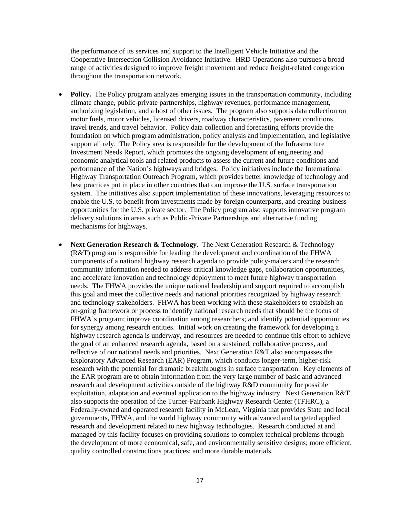the performance of its services and support to the Intelligent Vehicle Initiative and the Cooperative Intersection Collision Avoidance Initiative. HRD Operations also pursues a broad range of activities designed to improve freight movement and reduce freight-related congestion throughout the transportation network.

- **Policy.** The Policy program analyzes emerging issues in the transportation community, including climate change, public-private partnerships, highway revenues, performance management, authorizing legislation, and a host of other issues. The program also supports data collection on motor fuels, motor vehicles, licensed drivers, roadway characteristics, pavement conditions, travel trends, and travel behavior. Policy data collection and forecasting efforts provide the foundation on which program administration, policy analysis and implementation, and legislative support all rely. The Policy area is responsible for the development of the Infrastructure Investment Needs Report, which promotes the ongoing development of engineering and economic analytical tools and related products to assess the current and future conditions and performance of the Nation's highways and bridges. Policy initiatives include the International Highway Transportation Outreach Program, which provides better knowledge of technology and best practices put in place in other countries that can improve the U.S. surface transportation system. The initiatives also support implementation of these innovations, leveraging resources to enable the U.S. to benefit from investments made by foreign counterparts, and creating business opportunities for the U.S. private sector. The Policy program also supports innovative program delivery solutions in areas such as Public-Private Partnerships and alternative funding mechanisms for highways.
- **Next Generation Research & Technology**. The Next Generation Research & Technology (R&T) program is responsible for leading the development and coordination of the FHWA components of a national highway research agenda to provide policy-makers and the research community information needed to address critical knowledge gaps, collaboration opportunities, and accelerate innovation and technology deployment to meet future highway transportation needs. The FHWA provides the unique national leadership and support required to accomplish this goal and meet the collective needs and national priorities recognized by highway research and technology stakeholders. FHWA has been working with these stakeholders to establish an on-going framework or process to identify national research needs that should be the focus of FHWA's program; improve coordination among researchers; and identify potential opportunities for synergy among research entities. Initial work on creating the framework for developing a highway research agenda is underway, and resources are needed to continue this effort to achieve the goal of an enhanced research agenda, based on a sustained, collaborative process, and reflective of our national needs and priorities. Next Generation R&T also encompasses the Exploratory Advanced Research (EAR) Program, which conducts longer-term, higher-risk research with the potential for dramatic breakthroughs in surface transportation. Key elements of the EAR program are to obtain information from the very large number of basic and advanced research and development activities outside of the highway R&D community for possible exploitation, adaptation and eventual application to the highway industry. Next Generation R&T also supports the operation of the Turner-Fairbank Highway Research Center (TFHRC), a Federally-owned and operated research facility in McLean, Virginia that provides State and local governments, FHWA, and the world highway community with advanced and targeted applied research and development related to new highway technologies. Research conducted at and managed by this facility focuses on providing solutions to complex technical problems through the development of more economical, safe, and environmentally sensitive designs; more efficient, quality controlled constructions practices; and more durable materials.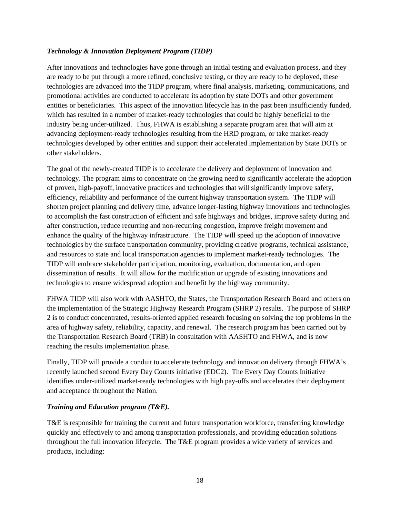# *Technology & Innovation Deployment Program (TIDP)*

After innovations and technologies have gone through an initial testing and evaluation process, and they are ready to be put through a more refined, conclusive testing, or they are ready to be deployed, these technologies are advanced into the TIDP program, where final analysis, marketing, communications, and promotional activities are conducted to accelerate its adoption by state DOTs and other government entities or beneficiaries. This aspect of the innovation lifecycle has in the past been insufficiently funded, which has resulted in a number of market-ready technologies that could be highly beneficial to the industry being under-utilized. Thus, FHWA is establishing a separate program area that will aim at advancing deployment-ready technologies resulting from the HRD program, or take market-ready technologies developed by other entities and support their accelerated implementation by State DOTs or other stakeholders.

The goal of the newly-created TIDP is to accelerate the delivery and deployment of innovation and technology. The program aims to concentrate on the growing need to significantly accelerate the adoption of proven, high-payoff, innovative practices and technologies that will significantly improve safety, efficiency, reliability and performance of the current highway transportation system. The TIDP will shorten project planning and delivery time, advance longer-lasting highway innovations and technologies to accomplish the fast construction of efficient and safe highways and bridges, improve safety during and after construction, reduce recurring and non-recurring congestion, improve freight movement and enhance the quality of the highway infrastructure. The TIDP will speed up the adoption of innovative technologies by the surface transportation community, providing creative programs, technical assistance, and resources to state and local transportation agencies to implement market-ready technologies. The TIDP will embrace stakeholder participation, monitoring, evaluation, documentation, and open dissemination of results. It will allow for the modification or upgrade of existing innovations and technologies to ensure widespread adoption and benefit by the highway community.

FHWA TIDP will also work with AASHTO, the States, the Transportation Research Board and others on the implementation of the Strategic Highway Research Program (SHRP 2) results. The purpose of SHRP 2 is to conduct concentrated, results-oriented applied research focusing on solving the top problems in the area of highway safety, reliability, capacity, and renewal. The research program has been carried out by the Transportation Research Board (TRB) in consultation with AASHTO and FHWA, and is now reaching the results implementation phase.

Finally, TIDP will provide a conduit to accelerate technology and innovation delivery through FHWA's recently launched second Every Day Counts initiative (EDC2). The Every Day Counts Initiative identifies under-utilized market-ready technologies with high pay-offs and accelerates their deployment and acceptance throughout the Nation.

# *Training and Education program (T&E).*

T&E is responsible for training the current and future transportation workforce, transferring knowledge quickly and effectively to and among transportation professionals, and providing education solutions throughout the full innovation lifecycle. The T&E program provides a wide variety of services and products, including: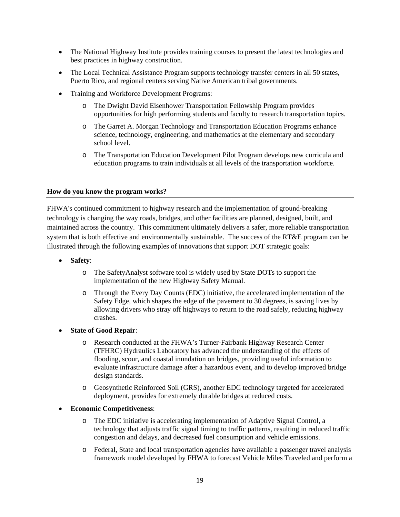- The National Highway Institute provides training courses to present the latest technologies and best practices in highway construction.
- The Local Technical Assistance Program supports technology transfer centers in all 50 states, Puerto Rico, and regional centers serving Native American tribal governments.
- Training and Workforce Development Programs:
	- o The Dwight David Eisenhower Transportation Fellowship Program provides opportunities for high performing students and faculty to research transportation topics.
	- o The Garret A. Morgan Technology and Transportation Education Programs enhance science, technology, engineering, and mathematics at the elementary and secondary school level.
	- o The Transportation Education Development Pilot Program develops new curricula and education programs to train individuals at all levels of the transportation workforce.

#### **How do you know the program works?**

FHWA's continued commitment to highway research and the implementation of ground-breaking technology is changing the way roads, bridges, and other facilities are planned, designed, built, and maintained across the country. This commitment ultimately delivers a safer, more reliable transportation system that is both effective and environmentally sustainable. The success of the RT&E program can be illustrated through the following examples of innovations that support DOT strategic goals:

- **Safety**:
	- o The SafetyAnalyst software tool is widely used by State DOTs to support the implementation of the new Highway Safety Manual.
	- o Through the Every Day Counts (EDC) initiative, the accelerated implementation of the Safety Edge, which shapes the edge of the pavement to 30 degrees, is saving lives by allowing drivers who stray off highways to return to the road safely, reducing highway crashes.
- **State of Good Repair**:
	- o Research conducted at the FHWA's Turner-Fairbank Highway Research Center (TFHRC) Hydraulics Laboratory has advanced the understanding of the effects of flooding, scour, and coastal inundation on bridges, providing useful information to evaluate infrastructure damage after a hazardous event, and to develop improved bridge design standards.
	- o Geosynthetic Reinforced Soil (GRS), another EDC technology targeted for accelerated deployment, provides for extremely durable bridges at reduced costs.
- **Economic Competitiveness**:
	- o The EDC initiative is accelerating implementation of Adaptive Signal Control, a technology that adjusts traffic signal timing to traffic patterns, resulting in reduced traffic congestion and delays, and decreased fuel consumption and vehicle emissions.
	- o Federal, State and local transportation agencies have available a passenger travel analysis framework model developed by FHWA to forecast Vehicle Miles Traveled and perform a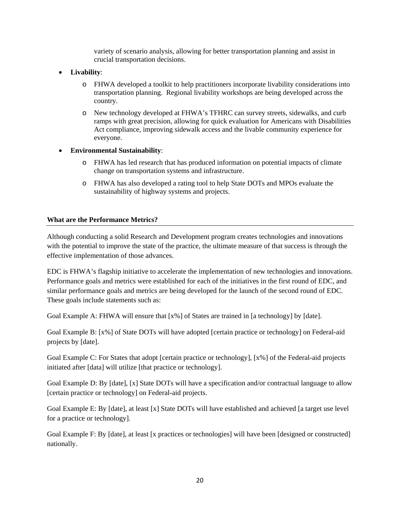variety of scenario analysis, allowing for better transportation planning and assist in crucial transportation decisions.

- **Livability**:
	- o FHWA developed a toolkit to help practitioners incorporate livability considerations into transportation planning. Regional livability workshops are being developed across the country.
	- o New technology developed at FHWA's TFHRC can survey streets, sidewalks, and curb ramps with great precision, allowing for quick evaluation for Americans with Disabilities Act compliance, improving sidewalk access and the livable community experience for everyone.

# **Environmental Sustainability**:

- o FHWA has led research that has produced information on potential impacts of climate change on transportation systems and infrastructure.
- o FHWA has also developed a rating tool to help State DOTs and MPOs evaluate the sustainability of highway systems and projects.

#### **What are the Performance Metrics?**

Although conducting a solid Research and Development program creates technologies and innovations with the potential to improve the state of the practice, the ultimate measure of that success is through the effective implementation of those advances.

EDC is FHWA's flagship initiative to accelerate the implementation of new technologies and innovations. Performance goals and metrics were established for each of the initiatives in the first round of EDC, and similar performance goals and metrics are being developed for the launch of the second round of EDC. These goals include statements such as:

Goal Example A: FHWA will ensure that [x%] of States are trained in [a technology] by [date].

Goal Example B: [x%] of State DOTs will have adopted [certain practice or technology] on Federal-aid projects by [date].

Goal Example C: For States that adopt [certain practice or technology], [x%] of the Federal-aid projects initiated after [data] will utilize [that practice or technology].

Goal Example D: By [date], [x] State DOTs will have a specification and/or contractual language to allow [certain practice or technology] on Federal-aid projects.

Goal Example E: By [date], at least [x] State DOTs will have established and achieved [a target use level for a practice or technology].

Goal Example F: By [date], at least [x practices or technologies] will have been [designed or constructed] nationally.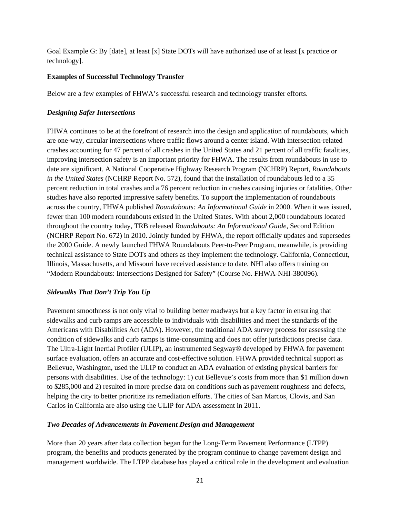Goal Example G: By [date], at least [x] State DOTs will have authorized use of at least [x practice or technology].

# **Examples of Successful Technology Transfer**

Below are a few examples of FHWA's successful research and technology transfer efforts.

# *Designing Safer Intersections*

FHWA continues to be at the forefront of research into the design and application of roundabouts, which are one-way, circular intersections where traffic flows around a center island. With intersection-related crashes accounting for 47 percent of all crashes in the United States and 21 percent of all traffic fatalities, improving intersection safety is an important priority for FHWA. The results from roundabouts in use to date are significant. A National Cooperative Highway Research Program (NCHRP) Report, *Roundabouts in the United States* (NCHRP Report No. 572), found that the installation of roundabouts led to a 35 percent reduction in total crashes and a 76 percent reduction in crashes causing injuries or fatalities. Other studies have also reported impressive safety benefits. To support the implementation of roundabouts across the country, FHWA published *Roundabouts: An Informational Guide* in 2000. When it was issued, fewer than 100 modern roundabouts existed in the United States. With about 2,000 roundabouts located throughout the country today, TRB released *Roundabouts: An Informational Guide,* Second Edition (NCHRP Report No. 672) in 2010. Jointly funded by FHWA, the report officially updates and supersedes the 2000 Guide. A newly launched FHWA Roundabouts Peer-to-Peer Program, meanwhile, is providing technical assistance to State DOTs and others as they implement the technology. California, Connecticut, Illinois, Massachusetts, and Missouri have received assistance to date. NHI also offers training on "Modern Roundabouts: Intersections Designed for Safety" (Course No. FHWA-NHI-380096).

# *Sidewalks That Don't Trip You Up*

Pavement smoothness is not only vital to building better roadways but a key factor in ensuring that sidewalks and curb ramps are accessible to individuals with disabilities and meet the standards of the Americans with Disabilities Act (ADA). However, the traditional ADA survey process for assessing the condition of sidewalks and curb ramps is time-consuming and does not offer jurisdictions precise data. The Ultra-Light Inertial Profiler (ULIP), an instrumented Segway® developed by FHWA for pavement surface evaluation, offers an accurate and cost-effective solution. FHWA provided technical support as Bellevue, Washington, used the ULIP to conduct an ADA evaluation of existing physical barriers for persons with disabilities. Use of the technology: 1) cut Bellevue's costs from more than \$1 million down to \$285,000 and 2) resulted in more precise data on conditions such as pavement roughness and defects, helping the city to better prioritize its remediation efforts. The cities of San Marcos, Clovis, and San Carlos in California are also using the ULIP for ADA assessment in 2011.

# *Two Decades of Advancements in Pavement Design and Management*

More than 20 years after data collection began for the Long-Term Pavement Performance (LTPP) program, the benefits and products generated by the program continue to change pavement design and management worldwide. The LTPP database has played a critical role in the development and evaluation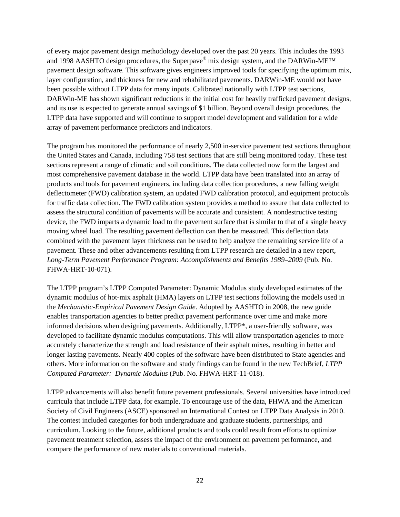of every major pavement design methodology developed over the past 20 years. This includes the 1993 and 1998 AASHTO design procedures, the Superpave<sup>®</sup> mix design system, and the DARWin-ME<sup>TM</sup> pavement design software. This software gives engineers improved tools for specifying the optimum mix, layer configuration, and thickness for new and rehabilitated pavements. DARWin-ME would not have been possible without LTPP data for many inputs. Calibrated nationally with LTPP test sections, DARWin-ME has shown significant reductions in the initial cost for heavily trafficked pavement designs, and its use is expected to generate annual savings of \$1 billion. Beyond overall design procedures, the LTPP data have supported and will continue to support model development and validation for a wide array of pavement performance predictors and indicators.

The program has monitored the performance of nearly 2,500 in-service pavement test sections throughout the United States and Canada, including 758 test sections that are still being monitored today. These test sections represent a range of climatic and soil conditions. The data collected now form the largest and most comprehensive pavement database in the world. LTPP data have been translated into an array of products and tools for pavement engineers, including data collection procedures, a new falling weight deflectometer (FWD) calibration system, an updated FWD calibration protocol, and equipment protocols for traffic data collection. The FWD calibration system provides a method to assure that data collected to assess the structural condition of pavements will be accurate and consistent. A nondestructive testing device, the FWD imparts a dynamic load to the pavement surface that is similar to that of a single heavy moving wheel load. The resulting pavement deflection can then be measured. This deflection data combined with the pavement layer thickness can be used to help analyze the remaining service life of a pavement. These and other advancements resulting from LTPP research are detailed in a new report, *Long-Term Pavement Performance Program: Accomplishments and Benefits 1989–2009* (Pub. No. FHWA-HRT-10-071).

The LTPP program's LTPP Computed Parameter: Dynamic Modulus study developed estimates of the dynamic modulus of hot-mix asphalt (HMA) layers on LTPP test sections following the models used in the *Mechanistic-Empirical Pavement Design Guide*. Adopted by AASHTO in 2008, the new guide enables transportation agencies to better predict pavement performance over time and make more informed decisions when designing pavements. Additionally, LTPP\*, a user-friendly software, was developed to facilitate dynamic modulus computations. This will allow transportation agencies to more accurately characterize the strength and load resistance of their asphalt mixes, resulting in better and longer lasting pavements. Nearly 400 copies of the software have been distributed to State agencies and others. More information on the software and study findings can be found in the new TechBrief, *LTPP Computed Parameter: Dynamic Modulus* (Pub. No. FHWA-HRT-11-018).

LTPP advancements will also benefit future pavement professionals. Several universities have introduced curricula that include LTPP data, for example. To encourage use of the data, FHWA and the American Society of Civil Engineers (ASCE) sponsored an International Contest on LTPP Data Analysis in 2010. The contest included categories for both undergraduate and graduate students, partnerships, and curriculum. Looking to the future, additional products and tools could result from efforts to optimize pavement treatment selection, assess the impact of the environment on pavement performance, and compare the performance of new materials to conventional materials.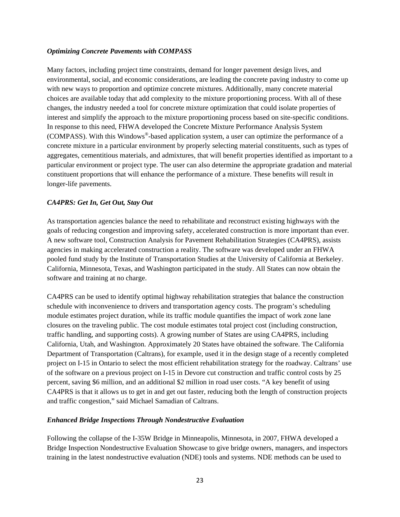#### *Optimizing Concrete Pavements with COMPASS*

Many factors, including project time constraints, demand for longer pavement design lives, and environmental, social, and economic considerations, are leading the concrete paving industry to come up with new ways to proportion and optimize concrete mixtures. Additionally, many concrete material choices are available today that add complexity to the mixture proportioning process. With all of these changes, the industry needed a tool for concrete mixture optimization that could isolate properties of interest and simplify the approach to the mixture proportioning process based on site-specific conditions. In response to this need, FHWA developed the Concrete Mixture Performance Analysis System (COMPASS). With this Windows®-based application system, a user can optimize the performance of a concrete mixture in a particular environment by properly selecting material constituents, such as types of aggregates, cementitious materials, and admixtures, that will benefit properties identified as important to a particular environment or project type. The user can also determine the appropriate gradation and material constituent proportions that will enhance the performance of a mixture. These benefits will result in longer-life pavements.

# *CA4PRS: Get In, Get Out, Stay Out*

As transportation agencies balance the need to rehabilitate and reconstruct existing highways with the goals of reducing congestion and improving safety, accelerated construction is more important than ever. A new software tool, Construction Analysis for Pavement Rehabilitation Strategies (CA4PRS), assists agencies in making accelerated construction a reality. The software was developed under an FHWA pooled fund study by the Institute of Transportation Studies at the University of California at Berkeley. California, Minnesota, Texas, and Washington participated in the study. All States can now obtain the software and training at no charge.

CA4PRS can be used to identify optimal highway rehabilitation strategies that balance the construction schedule with inconvenience to drivers and transportation agency costs. The program's scheduling module estimates project duration, while its traffic module quantifies the impact of work zone lane closures on the traveling public. The cost module estimates total project cost (including construction, traffic handling, and supporting costs). A growing number of States are using CA4PRS, including California, Utah, and Washington. Approximately 20 States have obtained the software. The California Department of Transportation (Caltrans), for example, used it in the design stage of a recently completed project on I-15 in Ontario to select the most efficient rehabilitation strategy for the roadway. Caltrans' use of the software on a previous project on I-15 in Devore cut construction and traffic control costs by 25 percent, saving \$6 million, and an additional \$2 million in road user costs. "A key benefit of using CA4PRS is that it allows us to get in and get out faster, reducing both the length of construction projects and traffic congestion," said Michael Samadian of Caltrans.

#### *Enhanced Bridge Inspections Through Nondestructive Evaluation*

Following the collapse of the I-35W Bridge in Minneapolis, Minnesota, in 2007, FHWA developed a Bridge Inspection Nondestructive Evaluation Showcase to give bridge owners, managers, and inspectors training in the latest nondestructive evaluation (NDE) tools and systems. NDE methods can be used to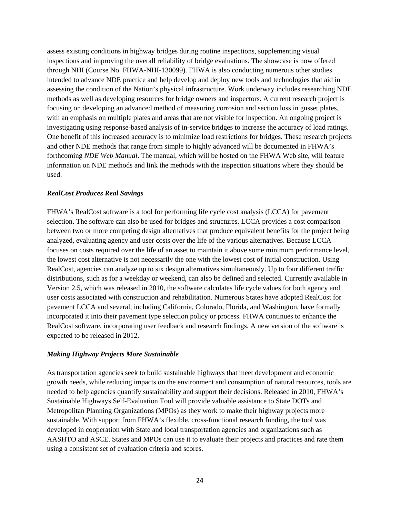assess existing conditions in highway bridges during routine inspections, supplementing visual inspections and improving the overall reliability of bridge evaluations. The showcase is now offered through NHI (Course No. FHWA-NHI-130099). FHWA is also conducting numerous other studies intended to advance NDE practice and help develop and deploy new tools and technologies that aid in assessing the condition of the Nation's physical infrastructure. Work underway includes researching NDE methods as well as developing resources for bridge owners and inspectors. A current research project is focusing on developing an advanced method of measuring corrosion and section loss in gusset plates, with an emphasis on multiple plates and areas that are not visible for inspection. An ongoing project is investigating using response-based analysis of in-service bridges to increase the accuracy of load ratings. One benefit of this increased accuracy is to minimize load restrictions for bridges. These research projects and other NDE methods that range from simple to highly advanced will be documented in FHWA's forthcoming *NDE Web Manual*. The manual, which will be hosted on the FHWA Web site, will feature information on NDE methods and link the methods with the inspection situations where they should be used.

# *RealCost Produces Real Savings*

FHWA's RealCost software is a tool for performing life cycle cost analysis (LCCA) for pavement selection. The software can also be used for bridges and structures. LCCA provides a cost comparison between two or more competing design alternatives that produce equivalent benefits for the project being analyzed, evaluating agency and user costs over the life of the various alternatives. Because LCCA focuses on costs required over the life of an asset to maintain it above some minimum performance level, the lowest cost alternative is not necessarily the one with the lowest cost of initial construction. Using RealCost, agencies can analyze up to six design alternatives simultaneously. Up to four different traffic distributions, such as for a weekday or weekend, can also be defined and selected. Currently available in Version 2.5, which was released in 2010, the software calculates life cycle values for both agency and user costs associated with construction and rehabilitation. Numerous States have adopted RealCost for pavement LCCA and several, including California, Colorado, Florida, and Washington, have formally incorporated it into their pavement type selection policy or process. FHWA continues to enhance the RealCost software, incorporating user feedback and research findings. A new version of the software is expected to be released in 2012.

#### *Making Highway Projects More Sustainable*

As transportation agencies seek to build sustainable highways that meet development and economic growth needs, while reducing impacts on the environment and consumption of natural resources, tools are needed to help agencies quantify sustainability and support their decisions. Released in 2010, FHWA's Sustainable Highways Self-Evaluation Tool will provide valuable assistance to State DOTs and Metropolitan Planning Organizations (MPOs) as they work to make their highway projects more sustainable. With support from FHWA's flexible, cross-functional research funding, the tool was developed in cooperation with State and local transportation agencies and organizations such as AASHTO and ASCE. States and MPOs can use it to evaluate their projects and practices and rate them using a consistent set of evaluation criteria and scores.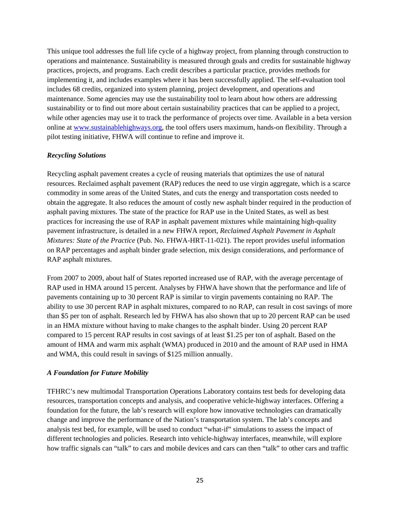This unique tool addresses the full life cycle of a highway project, from planning through construction to operations and maintenance. Sustainability is measured through goals and credits for sustainable highway practices, projects, and programs. Each credit describes a particular practice, provides methods for implementing it, and includes examples where it has been successfully applied. The self-evaluation tool includes 68 credits, organized into system planning, project development, and operations and maintenance. Some agencies may use the sustainability tool to learn about how others are addressing sustainability or to find out more about certain sustainability practices that can be applied to a project, while other agencies may use it to track the performance of projects over time. Available in a beta version online at www.sustainablehighways.org, the tool offers users maximum, hands-on flexibility. Through a pilot testing initiative, FHWA will continue to refine and improve it.

# *Recycling Solutions*

Recycling asphalt pavement creates a cycle of reusing materials that optimizes the use of natural resources. Reclaimed asphalt pavement (RAP) reduces the need to use virgin aggregate, which is a scarce commodity in some areas of the United States, and cuts the energy and transportation costs needed to obtain the aggregate. It also reduces the amount of costly new asphalt binder required in the production of asphalt paving mixtures. The state of the practice for RAP use in the United States, as well as best practices for increasing the use of RAP in asphalt pavement mixtures while maintaining high-quality pavement infrastructure, is detailed in a new FHWA report, *Reclaimed Asphalt Pavement in Asphalt Mixtures: State of the Practice* (Pub. No. FHWA-HRT-11-021). The report provides useful information on RAP percentages and asphalt binder grade selection, mix design considerations, and performance of RAP asphalt mixtures.

From 2007 to 2009, about half of States reported increased use of RAP, with the average percentage of RAP used in HMA around 15 percent. Analyses by FHWA have shown that the performance and life of pavements containing up to 30 percent RAP is similar to virgin pavements containing no RAP. The ability to use 30 percent RAP in asphalt mixtures, compared to no RAP, can result in cost savings of more than \$5 per ton of asphalt. Research led by FHWA has also shown that up to 20 percent RAP can be used in an HMA mixture without having to make changes to the asphalt binder. Using 20 percent RAP compared to 15 percent RAP results in cost savings of at least \$1.25 per ton of asphalt. Based on the amount of HMA and warm mix asphalt (WMA) produced in 2010 and the amount of RAP used in HMA and WMA, this could result in savings of \$125 million annually.

#### *A Foundation for Future Mobility*

TFHRC's new multimodal Transportation Operations Laboratory contains test beds for developing data resources, transportation concepts and analysis, and cooperative vehicle-highway interfaces. Offering a foundation for the future, the lab's research will explore how innovative technologies can dramatically change and improve the performance of the Nation's transportation system. The lab's concepts and analysis test bed, for example, will be used to conduct "what-if" simulations to assess the impact of different technologies and policies. Research into vehicle-highway interfaces, meanwhile, will explore how traffic signals can "talk" to cars and mobile devices and cars can then "talk" to other cars and traffic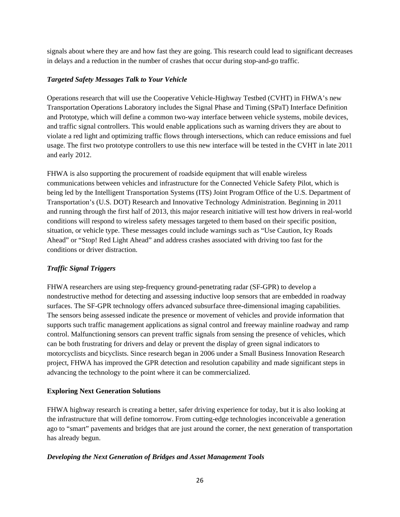signals about where they are and how fast they are going. This research could lead to significant decreases in delays and a reduction in the number of crashes that occur during stop-and-go traffic.

# *Targeted Safety Messages Talk to Your Vehicle*

Operations research that will use the Cooperative Vehicle-Highway Testbed (CVHT) in FHWA's new Transportation Operations Laboratory includes the Signal Phase and Timing (SPaT) Interface Definition and Prototype, which will define a common two-way interface between vehicle systems, mobile devices, and traffic signal controllers. This would enable applications such as warning drivers they are about to violate a red light and optimizing traffic flows through intersections, which can reduce emissions and fuel usage. The first two prototype controllers to use this new interface will be tested in the CVHT in late 2011 and early 2012.

FHWA is also supporting the procurement of roadside equipment that will enable wireless communications between vehicles and infrastructure for the Connected Vehicle Safety Pilot, which is being led by the Intelligent Transportation Systems (ITS) Joint Program Office of the U.S. Department of Transportation's (U.S. DOT) Research and Innovative Technology Administration. Beginning in 2011 and running through the first half of 2013, this major research initiative will test how drivers in real-world conditions will respond to wireless safety messages targeted to them based on their specific position, situation, or vehicle type. These messages could include warnings such as "Use Caution, Icy Roads Ahead" or "Stop! Red Light Ahead" and address crashes associated with driving too fast for the conditions or driver distraction.

# *Traffic Signal Triggers*

FHWA researchers are using step-frequency ground-penetrating radar (SF-GPR) to develop a nondestructive method for detecting and assessing inductive loop sensors that are embedded in roadway surfaces. The SF-GPR technology offers advanced subsurface three-dimensional imaging capabilities. The sensors being assessed indicate the presence or movement of vehicles and provide information that supports such traffic management applications as signal control and freeway mainline roadway and ramp control. Malfunctioning sensors can prevent traffic signals from sensing the presence of vehicles, which can be both frustrating for drivers and delay or prevent the display of green signal indicators to motorcyclists and bicyclists. Since research began in 2006 under a Small Business Innovation Research project, FHWA has improved the GPR detection and resolution capability and made significant steps in advancing the technology to the point where it can be commercialized.

# **Exploring Next Generation Solutions**

FHWA highway research is creating a better, safer driving experience for today, but it is also looking at the infrastructure that will define tomorrow. From cutting-edge technologies inconceivable a generation ago to "smart" pavements and bridges that are just around the corner, the next generation of transportation has already begun.

# *Developing the Next Generation of Bridges and Asset Management Tools*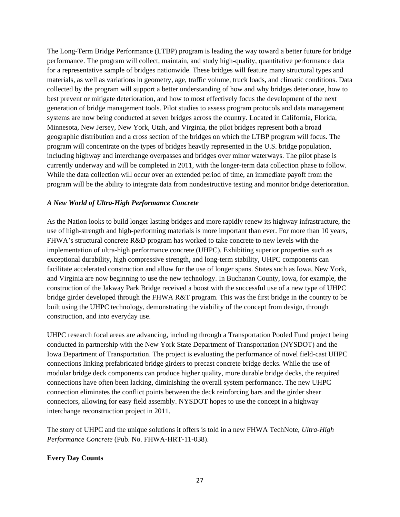The Long-Term Bridge Performance (LTBP) program is leading the way toward a better future for bridge performance. The program will collect, maintain, and study high-quality, quantitative performance data for a representative sample of bridges nationwide. These bridges will feature many structural types and materials, as well as variations in geometry, age, traffic volume, truck loads, and climatic conditions. Data collected by the program will support a better understanding of how and why bridges deteriorate, how to best prevent or mitigate deterioration, and how to most effectively focus the development of the next generation of bridge management tools. Pilot studies to assess program protocols and data management systems are now being conducted at seven bridges across the country. Located in California, Florida, Minnesota, New Jersey, New York, Utah, and Virginia, the pilot bridges represent both a broad geographic distribution and a cross section of the bridges on which the LTBP program will focus. The program will concentrate on the types of bridges heavily represented in the U.S. bridge population, including highway and interchange overpasses and bridges over minor waterways. The pilot phase is currently underway and will be completed in 2011, with the longer-term data collection phase to follow. While the data collection will occur over an extended period of time, an immediate payoff from the program will be the ability to integrate data from nondestructive testing and monitor bridge deterioration.

# *A New World of Ultra-High Performance Concrete*

As the Nation looks to build longer lasting bridges and more rapidly renew its highway infrastructure, the use of high-strength and high-performing materials is more important than ever. For more than 10 years, FHWA's structural concrete R&D program has worked to take concrete to new levels with the implementation of ultra-high performance concrete (UHPC). Exhibiting superior properties such as exceptional durability, high compressive strength, and long-term stability, UHPC components can facilitate accelerated construction and allow for the use of longer spans. States such as Iowa, New York, and Virginia are now beginning to use the new technology. In Buchanan County, Iowa, for example, the construction of the Jakway Park Bridge received a boost with the successful use of a new type of UHPC bridge girder developed through the FHWA R&T program. This was the first bridge in the country to be built using the UHPC technology, demonstrating the viability of the concept from design, through construction, and into everyday use.

UHPC research focal areas are advancing, including through a Transportation Pooled Fund project being conducted in partnership with the New York State Department of Transportation (NYSDOT) and the Iowa Department of Transportation. The project is evaluating the performance of novel field-cast UHPC connections linking prefabricated bridge girders to precast concrete bridge decks. While the use of modular bridge deck components can produce higher quality, more durable bridge decks, the required connections have often been lacking, diminishing the overall system performance. The new UHPC connection eliminates the conflict points between the deck reinforcing bars and the girder shear connectors, allowing for easy field assembly. NYSDOT hopes to use the concept in a highway interchange reconstruction project in 2011.

The story of UHPC and the unique solutions it offers is told in a new FHWA TechNote, *Ultra-High Performance Concrete* (Pub. No. FHWA-HRT-11-038).

# **Every Day Counts**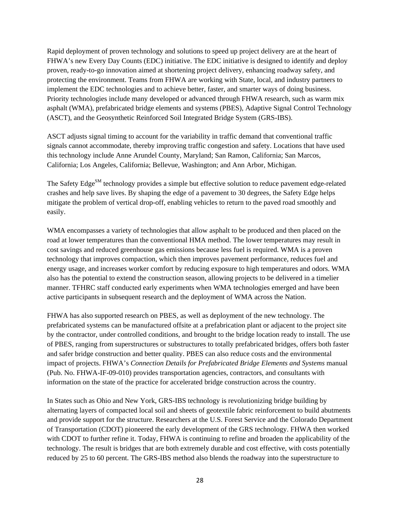Rapid deployment of proven technology and solutions to speed up project delivery are at the heart of FHWA's new Every Day Counts (EDC) initiative. The EDC initiative is designed to identify and deploy proven, ready-to-go innovation aimed at shortening project delivery, enhancing roadway safety, and protecting the environment. Teams from FHWA are working with State, local, and industry partners to implement the EDC technologies and to achieve better, faster, and smarter ways of doing business. Priority technologies include many developed or advanced through FHWA research, such as warm mix asphalt (WMA), prefabricated bridge elements and systems (PBES), Adaptive Signal Control Technology (ASCT), and the Geosynthetic Reinforced Soil Integrated Bridge System (GRS-IBS).

ASCT adjusts signal timing to account for the variability in traffic demand that conventional traffic signals cannot accommodate, thereby improving traffic congestion and safety. Locations that have used this technology include Anne Arundel County, Maryland; San Ramon, California; San Marcos, California; Los Angeles, California; Bellevue, Washington; and Ann Arbor, Michigan.

The Safety Edge<sup>SM</sup> technology provides a simple but effective solution to reduce pavement edge-related crashes and help save lives. By shaping the edge of a pavement to 30 degrees, the Safety Edge helps mitigate the problem of vertical drop-off, enabling vehicles to return to the paved road smoothly and easily.

WMA encompasses a variety of technologies that allow asphalt to be produced and then placed on the road at lower temperatures than the conventional HMA method. The lower temperatures may result in cost savings and reduced greenhouse gas emissions because less fuel is required. WMA is a proven technology that improves compaction, which then improves pavement performance, reduces fuel and energy usage, and increases worker comfort by reducing exposure to high temperatures and odors. WMA also has the potential to extend the construction season, allowing projects to be delivered in a timelier manner. TFHRC staff conducted early experiments when WMA technologies emerged and have been active participants in subsequent research and the deployment of WMA across the Nation.

FHWA has also supported research on PBES, as well as deployment of the new technology. The prefabricated systems can be manufactured offsite at a prefabrication plant or adjacent to the project site by the contractor, under controlled conditions, and brought to the bridge location ready to install. The use of PBES, ranging from superstructures or substructures to totally prefabricated bridges, offers both faster and safer bridge construction and better quality. PBES can also reduce costs and the environmental impact of projects. FHWA's *Connection Details for Prefabricated Bridge Elements and Systems* manual (Pub. No. FHWA-IF-09-010) provides transportation agencies, contractors, and consultants with information on the state of the practice for accelerated bridge construction across the country.

In States such as Ohio and New York, GRS-IBS technology is revolutionizing bridge building by alternating layers of compacted local soil and sheets of geotextile fabric reinforcement to build abutments and provide support for the structure. Researchers at the U.S. Forest Service and the Colorado Department of Transportation (CDOT) pioneered the early development of the GRS technology. FHWA then worked with CDOT to further refine it. Today, FHWA is continuing to refine and broaden the applicability of the technology. The result is bridges that are both extremely durable and cost effective, with costs potentially reduced by 25 to 60 percent. The GRS-IBS method also blends the roadway into the superstructure to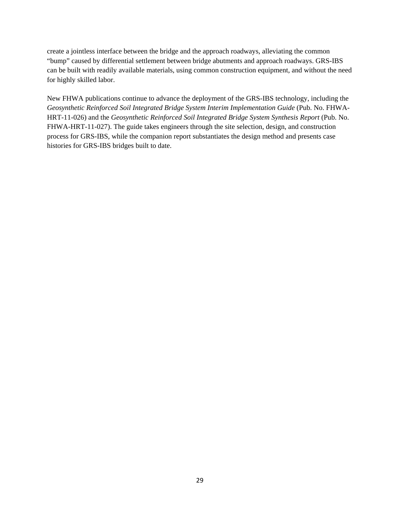create a jointless interface between the bridge and the approach roadways, alleviating the common "bump" caused by differential settlement between bridge abutments and approach roadways. GRS-IBS can be built with readily available materials, using common construction equipment, and without the need for highly skilled labor.

New FHWA publications continue to advance the deployment of the GRS-IBS technology, including the *Geosynthetic Reinforced Soil Integrated Bridge System Interim Implementation Guide* (Pub. No. FHWA-HRT-11-026) and the *Geosynthetic Reinforced Soil Integrated Bridge System Synthesis Report* (Pub. No. FHWA-HRT-11-027). The guide takes engineers through the site selection, design, and construction process for GRS-IBS, while the companion report substantiates the design method and presents case histories for GRS-IBS bridges built to date.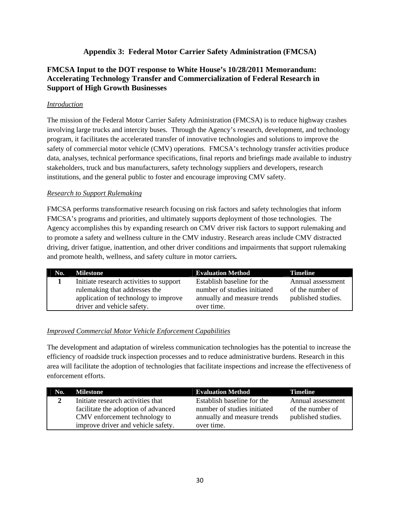# **Appendix 3: Federal Motor Carrier Safety Administration (FMCSA)**

# **FMCSA Input to the DOT response to White House's 10/28/2011 Memorandum: Accelerating Technology Transfer and Commercialization of Federal Research in Support of High Growth Businesses**

# *Introduction*

The mission of the Federal Motor Carrier Safety Administration (FMCSA) is to reduce highway crashes involving large trucks and intercity buses. Through the Agency's research, development, and technology program, it facilitates the accelerated transfer of innovative technologies and solutions to improve the safety of commercial motor vehicle (CMV) operations. FMCSA's technology transfer activities produce data, analyses, technical performance specifications, final reports and briefings made available to industry stakeholders, truck and bus manufacturers, safety technology suppliers and developers, research institutions, and the general public to foster and encourage improving CMV safety.

# *Research to Support Rulemaking*

FMCSA performs transformative research focusing on risk factors and safety technologies that inform FMCSA's programs and priorities, and ultimately supports deployment of those technologies. The Agency accomplishes this by expanding research on CMV driver risk factors to support rulemaking and to promote a safety and wellness culture in the CMV industry. Research areas include CMV distracted driving, driver fatigue, inattention, and other driver conditions and impairments that support rulemaking and promote health, wellness, and safety culture in motor carriers**.** 

| No. | <b>Milestone</b>                                                                                                                               | <b>Evaluation Method</b>                                                                               | <b>Timeline</b>                                             |
|-----|------------------------------------------------------------------------------------------------------------------------------------------------|--------------------------------------------------------------------------------------------------------|-------------------------------------------------------------|
|     | Initiate research activities to support<br>rulemaking that addresses the<br>application of technology to improve<br>driver and vehicle safety. | Establish baseline for the<br>number of studies initiated<br>annually and measure trends<br>over time. | Annual assessment<br>of the number of<br>published studies. |

# *Improved Commercial Motor Vehicle Enforcement Capabilities*

The development and adaptation of wireless communication technologies has the potential to increase the efficiency of roadside truck inspection processes and to reduce administrative burdens. Research in this area will facilitate the adoption of technologies that facilitate inspections and increase the effectiveness of enforcement efforts.

| No. | <b>Milestone</b>                    | <b>Evaluation Method</b>    | <b>Timeline</b>    |
|-----|-------------------------------------|-----------------------------|--------------------|
| 2   | Initiate research activities that   | Establish baseline for the  | Annual assessment  |
|     | facilitate the adoption of advanced | number of studies initiated | of the number of   |
|     | CMV enforcement technology to       | annually and measure trends | published studies. |
|     | improve driver and vehicle safety.  | over time.                  |                    |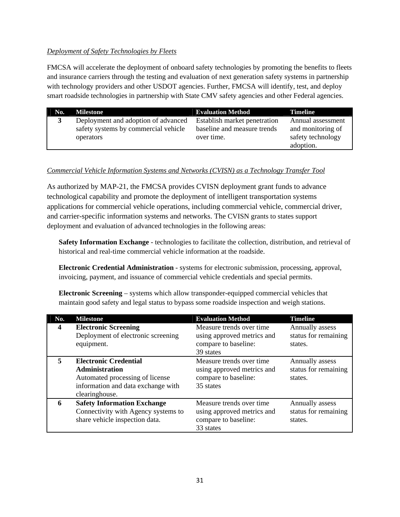# *Deployment of Safety Technologies by Fleets*

FMCSA will accelerate the deployment of onboard safety technologies by promoting the benefits to fleets and insurance carriers through the testing and evaluation of next generation safety systems in partnership with technology providers and other USDOT agencies. Further, FMCSA will identify, test, and deploy smart roadside technologies in partnership with State CMV safety agencies and other Federal agencies.

| No. | <b>Milestone</b>                     | <b>Evaluation Method</b>     | <b>Timeline</b>   |
|-----|--------------------------------------|------------------------------|-------------------|
| 3   | Deployment and adoption of advanced  | Establish market penetration | Annual assessment |
|     | safety systems by commercial vehicle | baseline and measure trends  | and monitoring of |
|     | operators                            | over time.                   | safety technology |
|     |                                      |                              | adoption.         |

# *Commercial Vehicle Information Systems and Networks (CVISN) as a Technology Transfer Tool*

As authorized by MAP-21, the FMCSA provides CVISN deployment grant funds to advance technological capability and promote the deployment of intelligent transportation systems applications for commercial vehicle operations, including commercial vehicle, commercial driver, and carrier-specific information systems and networks. The CVISN grants to states support deployment and evaluation of advanced technologies in the following areas:

**Safety Information Exchange** - technologies to facilitate the collection, distribution, and retrieval of historical and real-time commercial vehicle information at the roadside.

**Electronic Credential Administration** - systems for electronic submission, processing, approval, invoicing, payment, and issuance of commercial vehicle credentials and special permits.

**Electronic Screening** – systems which allow transponder-equipped commercial vehicles that maintain good safety and legal status to bypass some roadside inspection and weigh stations.

| No.              | <b>Milestone</b>                                                                                                                                 | <b>Evaluation Method</b>                                                                     | <b>Timeline</b>                                    |
|------------------|--------------------------------------------------------------------------------------------------------------------------------------------------|----------------------------------------------------------------------------------------------|----------------------------------------------------|
| $\boldsymbol{4}$ | <b>Electronic Screening</b><br>Deployment of electronic screening<br>equipment.                                                                  | Measure trends over time.<br>using approved metrics and<br>compare to baseline:<br>39 states | Annually assess<br>status for remaining<br>states. |
| 5.               | <b>Electronic Credential</b><br><b>Administration</b><br>Automated processing of license<br>information and data exchange with<br>clearinghouse. | Measure trends over time<br>using approved metrics and<br>compare to baseline:<br>35 states  | Annually assess<br>status for remaining<br>states. |
| 6                | <b>Safety Information Exchange</b><br>Connectivity with Agency systems to<br>share vehicle inspection data.                                      | Measure trends over time<br>using approved metrics and<br>compare to baseline:<br>33 states  | Annually assess<br>status for remaining<br>states. |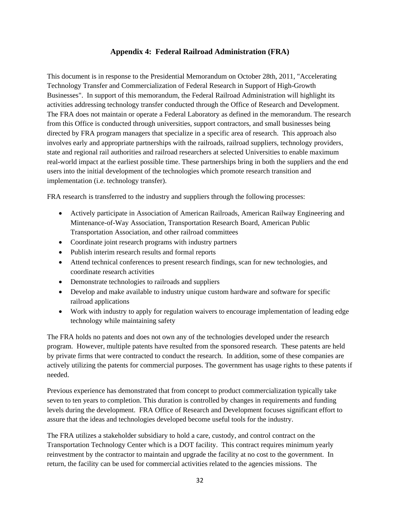# **Appendix 4: Federal Railroad Administration (FRA)**

This document is in response to the Presidential Memorandum on October 28th, 2011, "Accelerating Technology Transfer and Commercialization of Federal Research in Support of High-Growth Businesses". In support of this memorandum, the Federal Railroad Administration will highlight its activities addressing technology transfer conducted through the Office of Research and Development. The FRA does not maintain or operate a Federal Laboratory as defined in the memorandum. The research from this Office is conducted through universities, support contractors, and small businesses being directed by FRA program managers that specialize in a specific area of research. This approach also involves early and appropriate partnerships with the railroads, railroad suppliers, technology providers, state and regional rail authorities and railroad researchers at selected Universities to enable maximum real-world impact at the earliest possible time. These partnerships bring in both the suppliers and the end users into the initial development of the technologies which promote research transition and implementation (i.e. technology transfer).

FRA research is transferred to the industry and suppliers through the following processes:

- Actively participate in Association of American Railroads, American Railway Engineering and Mintenance-of-Way Association, Transportation Research Board, American Public Transportation Association, and other railroad committees
- Coordinate joint research programs with industry partners
- Publish interim research results and formal reports
- Attend technical conferences to present research findings, scan for new technologies, and coordinate research activities
- Demonstrate technologies to railroads and suppliers
- Develop and make available to industry unique custom hardware and software for specific railroad applications
- Work with industry to apply for regulation waivers to encourage implementation of leading edge technology while maintaining safety

The FRA holds no patents and does not own any of the technologies developed under the research program. However, multiple patents have resulted from the sponsored research. These patents are held by private firms that were contracted to conduct the research. In addition, some of these companies are actively utilizing the patents for commercial purposes. The government has usage rights to these patents if needed.

Previous experience has demonstrated that from concept to product commercialization typically take seven to ten years to completion. This duration is controlled by changes in requirements and funding levels during the development. FRA Office of Research and Development focuses significant effort to assure that the ideas and technologies developed become useful tools for the industry.

The FRA utilizes a stakeholder subsidiary to hold a care, custody, and control contract on the Transportation Technology Center which is a DOT facility. This contract requires minimum yearly reinvestment by the contractor to maintain and upgrade the facility at no cost to the government. In return, the facility can be used for commercial activities related to the agencies missions. The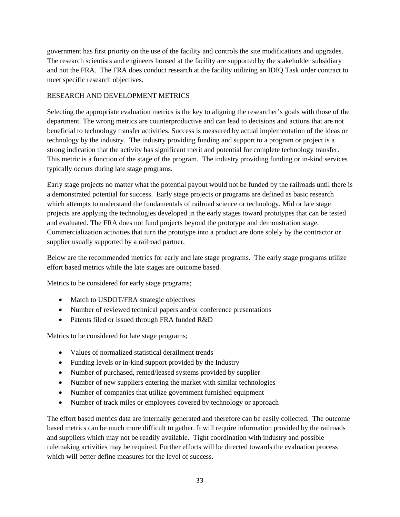government has first priority on the use of the facility and controls the site modifications and upgrades. The research scientists and engineers housed at the facility are supported by the stakeholder subsidiary and not the FRA. The FRA does conduct research at the facility utilizing an IDIQ Task order contract to meet specific research objectives.

# RESEARCH AND DEVELOPMENT METRICS

Selecting the appropriate evaluation metrics is the key to aligning the researcher's goals with those of the department. The wrong metrics are counterproductive and can lead to decisions and actions that are not beneficial to technology transfer activities. Success is measured by actual implementation of the ideas or technology by the industry. The industry providing funding and support to a program or project is a strong indication that the activity has significant merit and potential for complete technology transfer. This metric is a function of the stage of the program. The industry providing funding or in-kind services typically occurs during late stage programs.

Early stage projects no matter what the potential payout would not be funded by the railroads until there is a demonstrated potential for success. Early stage projects or programs are defined as basic research which attempts to understand the fundamentals of railroad science or technology. Mid or late stage projects are applying the technologies developed in the early stages toward prototypes that can be tested and evaluated. The FRA does not fund projects beyond the prototype and demonstration stage. Commercialization activities that turn the prototype into a product are done solely by the contractor or supplier usually supported by a railroad partner.

Below are the recommended metrics for early and late stage programs. The early stage programs utilize effort based metrics while the late stages are outcome based.

Metrics to be considered for early stage programs;

- Match to USDOT/FRA strategic objectives
- Number of reviewed technical papers and/or conference presentations
- Patents filed or issued through FRA funded R&D

Metrics to be considered for late stage programs;

- Values of normalized statistical derailment trends
- Funding levels or in-kind support provided by the Industry
- Number of purchased, rented/leased systems provided by supplier
- Number of new suppliers entering the market with similar technologies
- Number of companies that utilize government furnished equipment
- Number of track miles or employees covered by technology or approach

The effort based metrics data are internally generated and therefore can be easily collected. The outcome based metrics can be much more difficult to gather. It will require information provided by the railroads and suppliers which may not be readily available. Tight coordination with industry and possible rulemaking activities may be required. Further efforts will be directed towards the evaluation process which will better define measures for the level of success.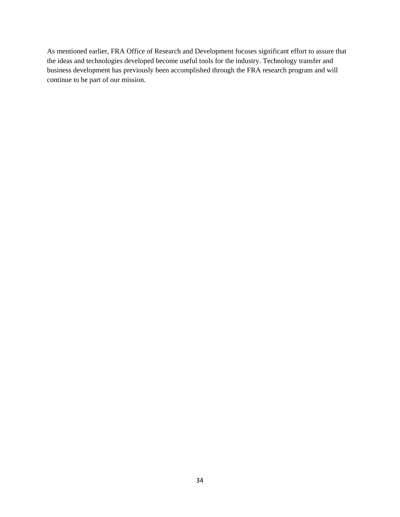As mentioned earlier, FRA Office of Research and Development focuses significant effort to assure that the ideas and technologies developed become useful tools for the industry. Technology transfer and business development has previously been accomplished through the FRA research program and will continue to be part of our mission.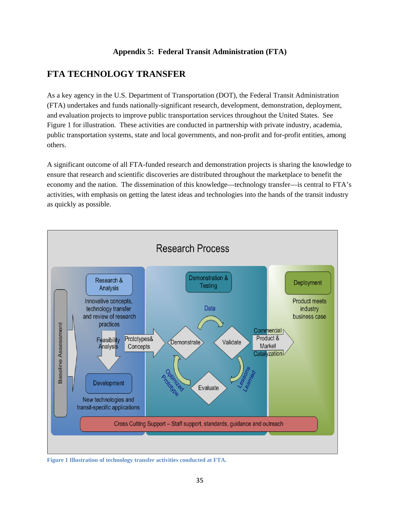# **Appendix 5: Federal Transit Administration (FTA)**

# **FTA TECHNOLOGY TRANSFER**

As a key agency in the U.S. Department of Transportation (DOT), the Federal Transit Administration (FTA) undertakes and funds nationally-significant research, development, demonstration, deployment, and evaluation projects to improve public transportation services throughout the United States. See Figure 1 for illustration. These activities are conducted in partnership with private industry, academia, public transportation systems, state and local governments, and non-profit and for-profit entities, among others.

A significant outcome of all FTA-funded research and demonstration projects is sharing the knowledge to ensure that research and scientific discoveries are distributed throughout the marketplace to benefit the economy and the nation. The dissemination of this knowledge—technology transfer—is central to FTA's activities, with emphasis on getting the latest ideas and technologies into the hands of the transit industry as quickly as possible.



**Figure 1 Illustration of technology transfer activities conducted at FTA.**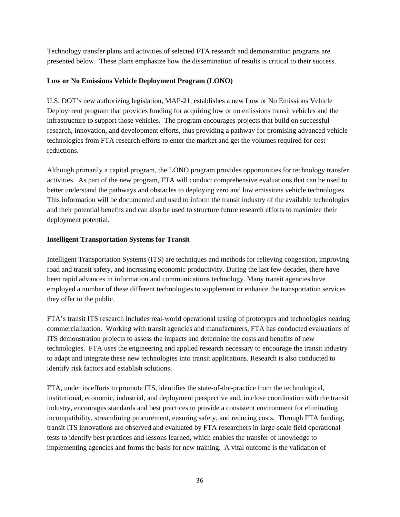Technology transfer plans and activities of selected FTA research and demonstration programs are presented below. These plans emphasize how the dissemination of results is critical to their success.

# **Low or No Emissions Vehicle Deployment Program (LONO)**

U.S. DOT's new authorizing legislation, MAP-21, establishes a new Low or No Emissions Vehicle Deployment program that provides funding for acquiring low or no emissions transit vehicles and the infrastructure to support those vehicles. The program encourages projects that build on successful research, innovation, and development efforts, thus providing a pathway for promising advanced vehicle technologies from FTA research efforts to enter the market and get the volumes required for cost reductions.

Although primarily a capital program, the LONO program provides opportunities for technology transfer activities. As part of the new program, FTA will conduct comprehensive evaluations that can be used to better understand the pathways and obstacles to deploying zero and low emissions vehicle technologies. This information will be documented and used to inform the transit industry of the available technologies and their potential benefits and can also be used to structure future research efforts to maximize their deployment potential.

# **Intelligent Transportation Systems for Transit**

Intelligent Transportation Systems (ITS) are techniques and methods for relieving congestion, improving road and transit safety, and increasing economic productivity. During the last few decades, there have been rapid advances in information and communications technology. Many transit agencies have employed a number of these different technologies to supplement or enhance the transportation services they offer to the public.

FTA's transit ITS research includes real-world operational testing of prototypes and technologies nearing commercialization. Working with transit agencies and manufacturers, FTA has conducted evaluations of ITS demonstration projects to assess the impacts and determine the costs and benefits of new technologies. FTA uses the engineering and applied research necessary to encourage the transit industry to adapt and integrate these new technologies into transit applications. Research is also conducted to identify risk factors and establish solutions.

FTA, under its efforts to promote ITS, identifies the state-of-the-practice from the technological, institutional, economic, industrial, and deployment perspective and, in close coordination with the transit industry, encourages standards and best practices to provide a consistent environment for eliminating incompatibility, streamlining procurement, ensuring safety, and reducing costs. Through FTA funding, transit ITS innovations are observed and evaluated by FTA researchers in large-scale field operational tests to identify best practices and lessons learned, which enables the transfer of knowledge to implementing agencies and forms the basis for new training. A vital outcome is the validation of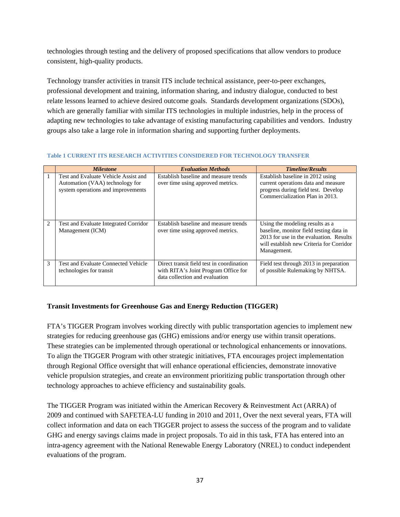technologies through testing and the delivery of proposed specifications that allow vendors to produce consistent, high-quality products.

Technology transfer activities in transit ITS include technical assistance, peer-to-peer exchanges, professional development and training, information sharing, and industry dialogue, conducted to best relate lessons learned to achieve desired outcome goals. Standards development organizations (SDOs), which are generally familiar with similar ITS technologies in multiple industries, help in the process of adapting new technologies to take advantage of existing manufacturing capabilities and vendors. Industry groups also take a large role in information sharing and supporting further deployments.

#### **Table 1 CURRENT ITS RESEARCH ACTIVITIES CONSIDERED FOR TECHNOLOGY TRANSFER**

|              | <i>Milestone</i>                                                                                              | <b>Evaluation Methods</b>                                                                                           | <b>Timeline/Results</b>                                                                                                                                                          |
|--------------|---------------------------------------------------------------------------------------------------------------|---------------------------------------------------------------------------------------------------------------------|----------------------------------------------------------------------------------------------------------------------------------------------------------------------------------|
| $\mathbf{1}$ | Test and Evaluate Vehicle Assist and<br>Automation (VAA) technology for<br>system operations and improvements | Establish baseline and measure trends<br>over time using approved metrics.                                          | Establish baseline in 2012 using<br>current operations data and measure<br>progress during field test. Develop<br>Commercialization Plan in 2013.                                |
| 2            | Test and Evaluate Integrated Corridor<br>Management (ICM)                                                     | Establish baseline and measure trends<br>over time using approved metrics.                                          | Using the modeling results as a<br>baseline, monitor field testing data in<br>2013 for use in the evaluation. Results<br>will establish new Criteria for Corridor<br>Management. |
| 3            | Test and Evaluate Connected Vehicle<br>technologies for transit                                               | Direct transit field test in coordination<br>with RITA's Joint Program Office for<br>data collection and evaluation | Field test through 2013 in preparation<br>of possible Rulemaking by NHTSA.                                                                                                       |

# **Transit Investments for Greenhouse Gas and Energy Reduction (TIGGER)**

FTA's TIGGER Program involves working directly with public transportation agencies to implement new strategies for reducing greenhouse gas (GHG) emissions and/or energy use within transit operations. These strategies can be implemented through operational or technological enhancements or innovations. To align the TIGGER Program with other strategic initiatives, FTA encourages project implementation through Regional Office oversight that will enhance operational efficiencies, demonstrate innovative vehicle propulsion strategies, and create an environment prioritizing public transportation through other technology approaches to achieve efficiency and sustainability goals.

The TIGGER Program was initiated within the American Recovery & Reinvestment Act (ARRA) of 2009 and continued with SAFETEA-LU funding in 2010 and 2011, Over the next several years, FTA will collect information and data on each TIGGER project to assess the success of the program and to validate GHG and energy savings claims made in project proposals. To aid in this task, FTA has entered into an intra-agency agreement with the National Renewable Energy Laboratory (NREL) to conduct independent evaluations of the program.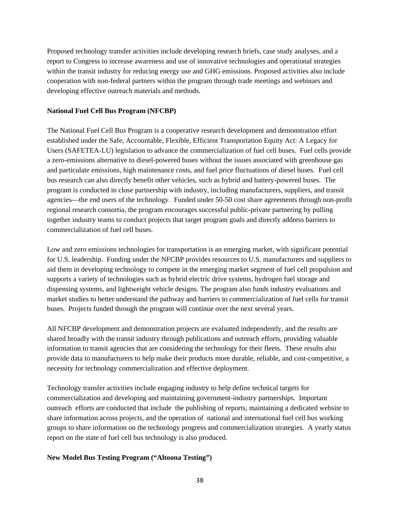Proposed technology transfer activities include developing research briefs, case study analyses, and a report to Congress to increase awareness and use of innovative technologies and operational strategies within the transit industry for reducing energy use and GHG emissions. Proposed activities also include cooperation with non-federal partners within the program through trade meetings and webinars and developing effective outreach materials and methods.

# **National Fuel Cell Bus Program (NFCBP)**

The National Fuel Cell Bus Program is a cooperative research development and demonstration effort established under the Safe, Accountable, Flexible, Efficient Transportation Equity Act: A Legacy for Users (SAFETEA-LU) legislation to advance the commercialization of fuel cell buses. Fuel cells provide a zero-emissions alternative to diesel-powered buses without the issues associated with greenhouse gas and particulate emissions, high maintenance costs, and fuel price fluctuations of diesel buses. Fuel cell bus research can also directly benefit other vehicles, such as hybrid and battery-powered buses. The program is conducted in close partnership with industry, including manufacturers, suppliers, and transit agencies—the end users of the technology. Funded under 50-50 cost share agreements through non-profit regional research consortia, the program encourages successful public-private partnering by pulling together industry teams to conduct projects that target program goals and directly address barriers to commercialization of fuel cell buses.

Low and zero emissions technologies for transportation is an emerging market, with significant potential for U.S. leadership. Funding under the NFCBP provides resources to U.S. manufacturers and suppliers to aid them in developing technology to compete in the emerging market segment of fuel cell propulsion and supports a variety of technologies such as hybrid electric drive systems, hydrogen fuel storage and dispensing systems, and lightweight vehicle designs. The program also funds industry evaluations and market studies to better understand the pathway and barriers to commercialization of fuel cells for transit buses. Projects funded through the program will continue over the next several years.

All NFCBP development and demonstration projects are evaluated independently, and the results are shared broadly with the transit industry through publications and outreach efforts, providing valuable information to transit agencies that are considering the technology for their fleets. These results also provide data to manufacturers to help make their products more durable, reliable, and cost-competitive, a necessity for technology commercialization and effective deployment.

Technology transfer activities include engaging industry to help define technical targets for commercialization and developing and maintaining government-industry partnerships. Important outreach efforts are conducted that include the publishing of reports, maintaining a dedicated website to share information across projects, and the operation of national and international fuel cell bus working groups to share information on the technology progress and commercialization strategies. A yearly status report on the state of fuel cell bus technology is also produced.

# **New Model Bus Testing Program ("Altoona Testing")**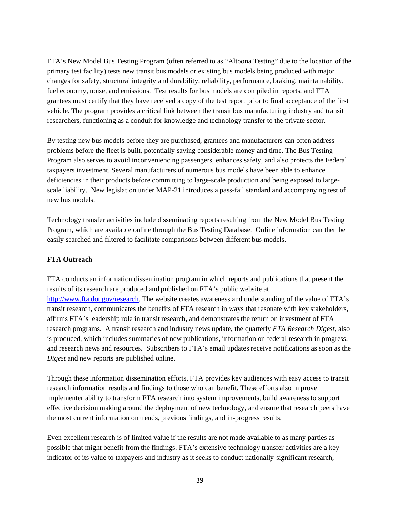FTA's New Model Bus Testing Program (often referred to as "Altoona Testing" due to the location of the primary test facility) tests new transit bus models or existing bus models being produced with major changes for safety, structural integrity and durability, reliability, performance, braking, maintainability, fuel economy, noise, and emissions. Test results for bus models are compiled in reports, and FTA grantees must certify that they have received a copy of the test report prior to final acceptance of the first vehicle. The program provides a critical link between the transit bus manufacturing industry and transit researchers, functioning as a conduit for knowledge and technology transfer to the private sector.

By testing new bus models before they are purchased, grantees and manufacturers can often address problems before the fleet is built, potentially saving considerable money and time. The Bus Testing Program also serves to avoid inconveniencing passengers, enhances safety, and also protects the Federal taxpayers investment. Several manufacturers of numerous bus models have been able to enhance deficiencies in their products before committing to large-scale production and being exposed to largescale liability. New legislation under MAP-21 introduces a pass-fail standard and accompanying test of new bus models.

Technology transfer activities include disseminating reports resulting from the New Model Bus Testing Program, which are available online through the Bus Testing Database. Online information can then be easily searched and filtered to facilitate comparisons between different bus models.

# **FTA Outreach**

FTA conducts an information dissemination program in which reports and publications that present the results of its research are produced and published on FTA's public website at http://www.fta.dot.gov/research. The website creates awareness and understanding of the value of FTA's transit research, communicates the benefits of FTA research in ways that resonate with key stakeholders, affirms FTA's leadership role in transit research, and demonstrates the return on investment of FTA research programs. A transit research and industry news update, the quarterly *FTA Research Digest,* also is produced, which includes summaries of new publications, information on federal research in progress, and research news and resources. Subscribers to FTA's email updates receive notifications as soon as the *Digest* and new reports are published online.

Through these information dissemination efforts, FTA provides key audiences with easy access to transit research information results and findings to those who can benefit. These efforts also improve implementer ability to transform FTA research into system improvements, build awareness to support effective decision making around the deployment of new technology, and ensure that research peers have the most current information on trends, previous findings, and in-progress results.

Even excellent research is of limited value if the results are not made available to as many parties as possible that might benefit from the findings. FTA's extensive technology transfer activities are a key indicator of its value to taxpayers and industry as it seeks to conduct nationally-significant research,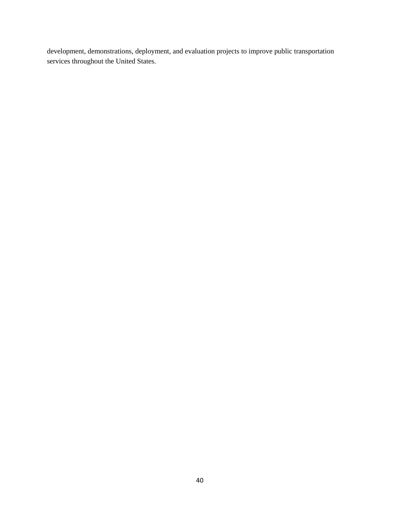development, demonstrations, deployment, and evaluation projects to improve public transportation services throughout the United States.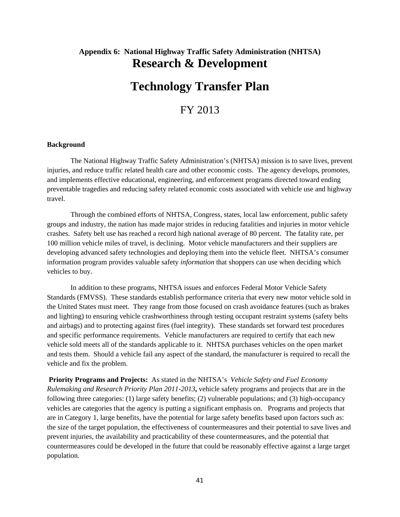# **Appendix 6: National Highway Traffic Safety Administration (NHTSA) Research & Development**

# **Technology Transfer Plan**

# FY 2013

#### **Background**

The National Highway Traffic Safety Administration's (NHTSA) mission is to save lives, prevent injuries, and reduce traffic related health care and other economic costs. The agency develops, promotes, and implements effective educational, engineering, and enforcement programs directed toward ending preventable tragedies and reducing safety related economic costs associated with vehicle use and highway travel.

Through the combined efforts of NHTSA, Congress, states, local law enforcement, public safety groups and industry, the nation has made major strides in reducing fatalities and injuries in motor vehicle crashes. Safety belt use has reached a record high national average of 80 percent. The fatality rate, per 100 million vehicle miles of travel, is declining. Motor vehicle manufacturers and their suppliers are developing advanced safety technologies and deploying them into the vehicle fleet. NHTSA's consumer information program provides valuable safety *information* that shoppers can use when deciding which vehicles to buy.

In addition to these programs, NHTSA issues and enforces Federal Motor Vehicle Safety Standards (FMVSS). These standards establish performance criteria that every new motor vehicle sold in the United States must meet. They range from those focused on crash avoidance features (such as brakes and lighting) to ensuring vehicle crashworthiness through testing occupant restraint systems (safety belts and airbags) and to protecting against fires (fuel integrity). These standards set forward test procedures and specific performance requirements. Vehicle manufacturers are required to certify that each new vehicle sold meets all of the standards applicable to it. NHTSA purchases vehicles on the open market and tests them. Should a vehicle fail any aspect of the standard, the manufacturer is required to recall the vehicle and fix the problem.

**Priority Programs and Projects:** As stated in the NHTSA's *Vehicle Safety and Fuel Economy Rulemaking and Research Priority Plan 2011-2013***,** vehicle safety programs and projects that are in the following three categories: (1) large safety benefits; (2) vulnerable populations; and (3) high-occupancy vehicles are categories that the agency is putting a significant emphasis on. Programs and projects that are in Category 1, large benefits, have the potential for large safety benefits based upon factors such as: the size of the target population, the effectiveness of countermeasures and their potential to save lives and prevent injuries, the availability and practicability of these countermeasures, and the potential that countermeasures could be developed in the future that could be reasonably effective against a large target population.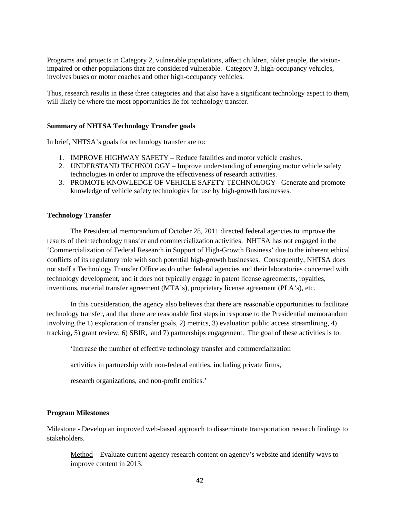Programs and projects in Category 2, vulnerable populations, affect children, older people, the visionimpaired or other populations that are considered vulnerable. Category 3, high-occupancy vehicles, involves buses or motor coaches and other high-occupancy vehicles.

Thus, research results in these three categories and that also have a significant technology aspect to them, will likely be where the most opportunities lie for technology transfer.

#### **Summary of NHTSA Technology Transfer goals**

In brief, NHTSA's goals for technology transfer are to:

- 1. IMPROVE HIGHWAY SAFETY Reduce fatalities and motor vehicle crashes.
- 2. UNDERSTAND TECHNOLOGY Improve understanding of emerging motor vehicle safety technologies in order to improve the effectiveness of research activities.
- 3. PROMOTE KNOWLEDGE OF VEHICLE SAFETY TECHNOLOGY– Generate and promote knowledge of vehicle safety technologies for use by high-growth businesses.

#### **Technology Transfer**

The Presidential memorandum of October 28, 2011 directed federal agencies to improve the results of their technology transfer and commercialization activities. NHTSA has not engaged in the 'Commercialization of Federal Research in Support of High-Growth Business' due to the inherent ethical conflicts of its regulatory role with such potential high-growth businesses. Consequently, NHTSA does not staff a Technology Transfer Office as do other federal agencies and their laboratories concerned with technology development, and it does not typically engage in patent license agreements, royalties, inventions, material transfer agreement (MTA's), proprietary license agreement (PLA's), etc.

 In this consideration, the agency also believes that there are reasonable opportunities to facilitate technology transfer, and that there are reasonable first steps in response to the Presidential memorandum involving the 1) exploration of transfer goals, 2) metrics, 3) evaluation public access streamlining, 4) tracking, 5) grant review, 6) SBIR, and 7) partnerships engagement. The goal of these activities is to:

'Increase the number of effective technology transfer and commercialization

activities in partnership with non-federal entities, including private firms,

research organizations, and non-profit entities.'

#### **Program Milestones**

Milestone - Develop an improved web-based approach to disseminate transportation research findings to stakeholders.

Method - Evaluate current agency research content on agency's website and identify ways to improve content in 2013.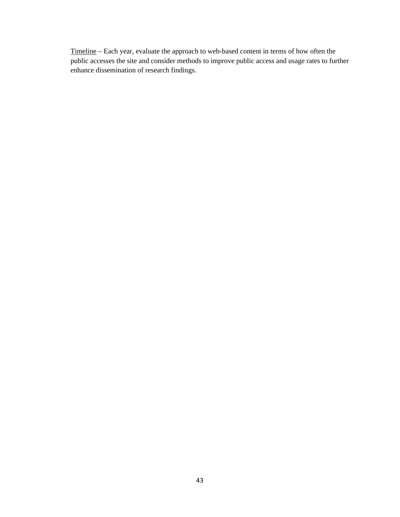Timeline – Each year, evaluate the approach to web-based content in terms of how often the public accesses the site and consider methods to improve public access and usage rates to further enhance dissemination of research findings.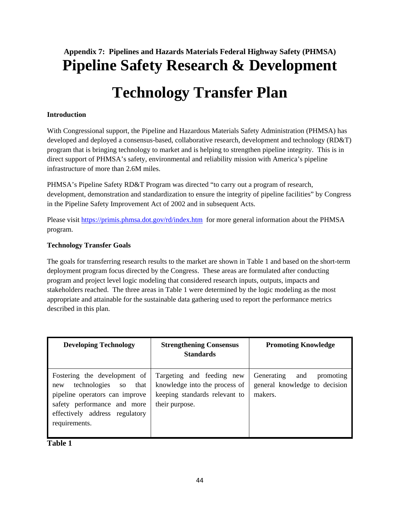# **Appendix 7: Pipelines and Hazards Materials Federal Highway Safety (PHMSA) Pipeline Safety Research & Development**

# **Technology Transfer Plan**

# **Introduction**

With Congressional support, the Pipeline and Hazardous Materials Safety Administration (PHMSA) has developed and deployed a consensus-based, collaborative research, development and technology (RD&T) program that is bringing technology to market and is helping to strengthen pipeline integrity. This is in direct support of PHMSA's safety, environmental and reliability mission with America's pipeline infrastructure of more than 2.6M miles.

PHMSA's Pipeline Safety RD&T Program was directed "to carry out a program of research, development, demonstration and standardization to ensure the integrity of pipeline facilities" by Congress in the Pipeline Safety Improvement Act of 2002 and in subsequent Acts.

Please visit https://primis.phmsa.dot.gov/rd/index.htm for more general information about the PHMSA program.

# **Technology Transfer Goals**

The goals for transferring research results to the market are shown in Table 1 and based on the short-term deployment program focus directed by the Congress. These areas are formulated after conducting program and project level logic modeling that considered research inputs, outputs, impacts and stakeholders reached. The three areas in Table 1 were determined by the logic modeling as the most appropriate and attainable for the sustainable data gathering used to report the performance metrics described in this plan.

| <b>Developing Technology</b>                                                                                                                                                    | <b>Strengthening Consensus</b><br><b>Standards</b>                                                            | <b>Promoting Knowledge</b>                                                 |
|---------------------------------------------------------------------------------------------------------------------------------------------------------------------------------|---------------------------------------------------------------------------------------------------------------|----------------------------------------------------------------------------|
| Fostering the development of<br>technologies so that<br>new<br>pipeline operators can improve<br>safety performance and more<br>effectively address regulatory<br>requirements. | Targeting and feeding new<br>knowledge into the process of<br>keeping standards relevant to<br>their purpose. | Generating<br>promoting<br>and<br>general knowledge to decision<br>makers. |

**Table 1**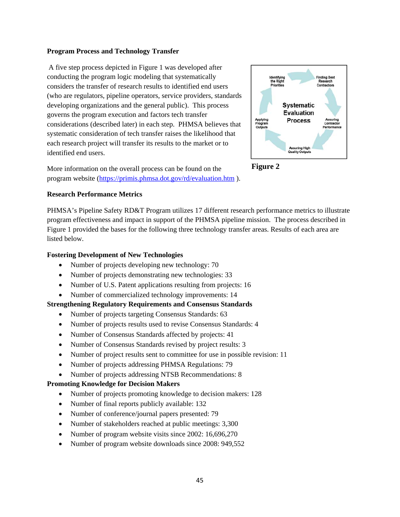#### **Program Process and Technology Transfer**

A five step process depicted in Figure 1 was developed after conducting the program logic modeling that systematically considers the transfer of research results to identified end users (who are regulators, pipeline operators, service providers, standards developing organizations and the general public). This process governs the program execution and factors tech transfer considerations (described later) in each step. PHMSA believes that systematic consideration of tech transfer raises the likelihood that each research project will transfer its results to the market or to identified end users.

**Identifying**<br>the Right Finding Best<br>Research **Systematic** Evaluation Applying<br>Program<br>Outputs **Process** Assuring **Assuring High<br>Quality Outputs** 



More information on the overall process can be found on the program website (https://primis.phmsa.dot.gov/rd/evaluation.htm ).

# **Research Performance Metrics**

PHMSA's Pipeline Safety RD&T Program utilizes 17 different research performance metrics to illustrate program effectiveness and impact in support of the PHMSA pipeline mission. The process described in Figure 1 provided the bases for the following three technology transfer areas. Results of each area are listed below.

# **Fostering Development of New Technologies**

- Number of projects developing new technology: 70
- Number of projects demonstrating new technologies: 33
- Number of U.S. Patent applications resulting from projects: 16
- Number of commercialized technology improvements: 14

# **Strengthening Regulatory Requirements and Consensus Standards**

- Number of projects targeting Consensus Standards: 63
- Number of projects results used to revise Consensus Standards: 4
- Number of Consensus Standards affected by projects: 41
- Number of Consensus Standards revised by project results: 3
- Number of project results sent to committee for use in possible revision: 11
- Number of projects addressing PHMSA Regulations: 79
- Number of projects addressing NTSB Recommendations: 8

# **Promoting Knowledge for Decision Makers**

- Number of projects promoting knowledge to decision makers: 128
- Number of final reports publicly available: 132
- Number of conference/journal papers presented: 79
- Number of stakeholders reached at public meetings: 3,300
- Number of program website visits since 2002: 16,696,270
- Number of program website downloads since 2008: 949,552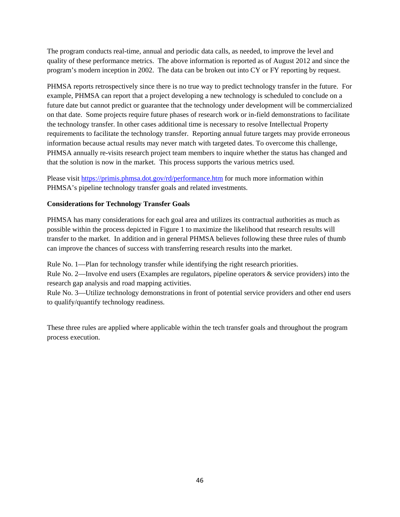The program conducts real-time, annual and periodic data calls, as needed, to improve the level and quality of these performance metrics. The above information is reported as of August 2012 and since the program's modern inception in 2002. The data can be broken out into CY or FY reporting by request.

PHMSA reports retrospectively since there is no true way to predict technology transfer in the future. For example, PHMSA can report that a project developing a new technology is scheduled to conclude on a future date but cannot predict or guarantee that the technology under development will be commercialized on that date. Some projects require future phases of research work or in-field demonstrations to facilitate the technology transfer. In other cases additional time is necessary to resolve Intellectual Property requirements to facilitate the technology transfer. Reporting annual future targets may provide erroneous information because actual results may never match with targeted dates. To overcome this challenge, PHMSA annually re-visits research project team members to inquire whether the status has changed and that the solution is now in the market. This process supports the various metrics used.

Please visit https://primis.phmsa.dot.gov/rd/performance.htm for much more information within PHMSA's pipeline technology transfer goals and related investments.

# **Considerations for Technology Transfer Goals**

PHMSA has many considerations for each goal area and utilizes its contractual authorities as much as possible within the process depicted in Figure 1 to maximize the likelihood that research results will transfer to the market. In addition and in general PHMSA believes following these three rules of thumb can improve the chances of success with transferring research results into the market.

Rule No. 1—Plan for technology transfer while identifying the right research priorities.

Rule No. 2—Involve end users (Examples are regulators, pipeline operators & service providers) into the research gap analysis and road mapping activities.

Rule No. 3—Utilize technology demonstrations in front of potential service providers and other end users to qualify/quantify technology readiness.

These three rules are applied where applicable within the tech transfer goals and throughout the program process execution.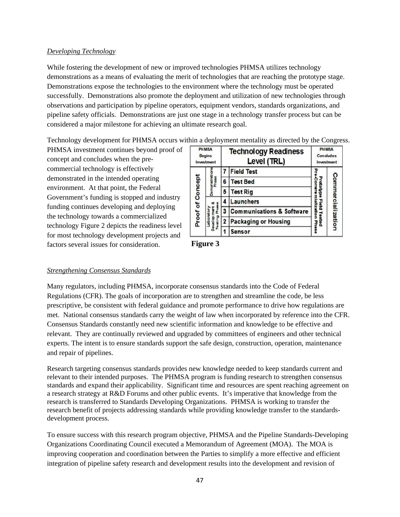# *Developing Technology*

While fostering the development of new or improved technologies PHMSA utilizes technology demonstrations as a means of evaluating the merit of technologies that are reaching the prototype stage. Demonstrations expose the technologies to the environment where the technology must be operated successfully. Demonstrations also promote the deployment and utilization of new technologies through observations and participation by pipeline operators, equipment vendors, standards organizations, and pipeline safety officials. Demonstrations are just one stage in a technology transfer process but can be considered a major milestone for achieving an ultimate research goal.

Technology development for PHMSA occurs within a deployment mentality as directed by the Congress.

PHMSA investment continues beyond proof of concept and concludes when the precommercial technology is effectively demonstrated in the intended operating environment. At that point, the Federal Government's funding is stopped and industry funding continues developing and deploying the technology towards a commercialized technology Figure 2 depicts the readiness level for most technology development projects and factors several issues for consideration.

| PHMSA<br><b>Begins</b><br>Investment |                             | <b>Technology Readiness</b><br>Level (TRL) |                   | PHMSA<br>Condudes<br>Investment |  |
|--------------------------------------|-----------------------------|--------------------------------------------|-------------------|---------------------------------|--|
|                                      |                             |                                            | <b>Field Test</b> |                                 |  |
| Proof of Concept                     |                             | <b>Test Bed</b><br><b>Test Rig</b>         |                   | commercialization               |  |
|                                      |                             |                                            |                   |                                 |  |
|                                      |                             |                                            | Launchers         |                                 |  |
|                                      |                             | <b>Communications &amp; Software</b>       |                   |                                 |  |
|                                      | <b>Packaging or Housing</b> |                                            |                   |                                 |  |
|                                      |                             |                                            | <b>Sensor</b>     |                                 |  |



# *Strengthening Consensus Standards*

Many regulators, including PHMSA, incorporate consensus standards into the Code of Federal Regulations (CFR). The goals of incorporation are to strengthen and streamline the code, be less prescriptive, be consistent with federal guidance and promote performance to drive how regulations are met. National consensus standards carry the weight of law when incorporated by reference into the CFR. Consensus Standards constantly need new scientific information and knowledge to be effective and relevant. They are continually reviewed and upgraded by committees of engineers and other technical experts. The intent is to ensure standards support the safe design, construction, operation, maintenance and repair of pipelines.

Research targeting consensus standards provides new knowledge needed to keep standards current and relevant to their intended purposes. The PHMSA program is funding research to strengthen consensus standards and expand their applicability. Significant time and resources are spent reaching agreement on a research strategy at R&D Forums and other public events. It's imperative that knowledge from the research is transferred to Standards Developing Organizations. PHMSA is working to transfer the research benefit of projects addressing standards while providing knowledge transfer to the standardsdevelopment process.

To ensure success with this research program objective, PHMSA and the Pipeline Standards-Developing Organizations Coordinating Council executed a Memorandum of Agreement (MOA). The MOA is improving cooperation and coordination between the Parties to simplify a more effective and efficient integration of pipeline safety research and development results into the development and revision of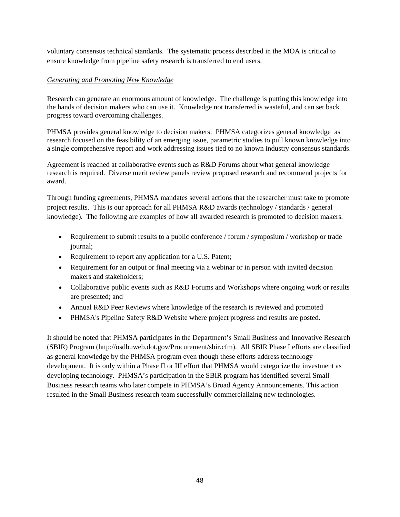voluntary consensus technical standards. The systematic process described in the MOA is critical to ensure knowledge from pipeline safety research is transferred to end users.

# *Generating and Promoting New Knowledge*

Research can generate an enormous amount of knowledge. The challenge is putting this knowledge into the hands of decision makers who can use it. Knowledge not transferred is wasteful, and can set back progress toward overcoming challenges.

PHMSA provides general knowledge to decision makers. PHMSA categorizes general knowledge as research focused on the feasibility of an emerging issue, parametric studies to pull known knowledge into a single comprehensive report and work addressing issues tied to no known industry consensus standards.

Agreement is reached at collaborative events such as R&D Forums about what general knowledge research is required. Diverse merit review panels review proposed research and recommend projects for award.

Through funding agreements, PHMSA mandates several actions that the researcher must take to promote project results. This is our approach for all PHMSA R&D awards (technology / standards / general knowledge). The following are examples of how all awarded research is promoted to decision makers.

- Requirement to submit results to a public conference / forum / symposium / workshop or trade journal;
- Requirement to report any application for a U.S. Patent;
- Requirement for an output or final meeting via a webinar or in person with invited decision makers and stakeholders;
- Collaborative public events such as R&D Forums and Workshops where ongoing work or results are presented; and
- Annual R&D Peer Reviews where knowledge of the research is reviewed and promoted
- PHMSA's Pipeline Safety R&D Website where project progress and results are posted.

It should be noted that PHMSA participates in the Department's Small Business and Innovative Research (SBIR) Program (http://osdbuweb.dot.gov/Procurement/sbir.cfm). All SBIR Phase I efforts are classified as general knowledge by the PHMSA program even though these efforts address technology development. It is only within a Phase II or III effort that PHMSA would categorize the investment as developing technology. PHMSA's participation in the SBIR program has identified several Small Business research teams who later compete in PHMSA's Broad Agency Announcements. This action resulted in the Small Business research team successfully commercializing new technologies.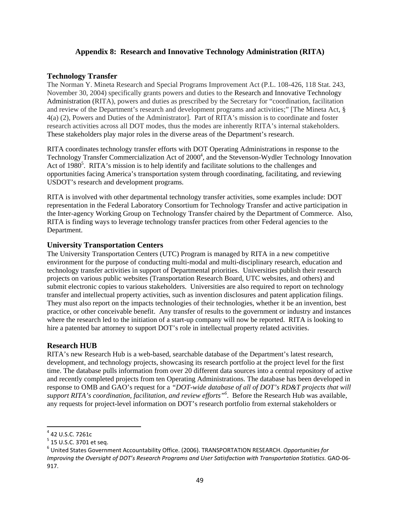# **Appendix 8: Research and Innovative Technology Administration (RITA)**

# **Technology Transfer**

The Norman Y. Mineta Research and Special Programs Improvement Act (P.L. 108-426, 118 Stat. 243, November 30, 2004) specifically grants powers and duties to the Research and Innovative Technology Administration (RITA), powers and duties as prescribed by the Secretary for "coordination, facilitation and review of the Department's research and development programs and activities;" [The Mineta Act, § 4(a) (2), Powers and Duties of the Administrator]. Part of RITA's mission is to coordinate and foster research activities across all DOT modes, thus the modes are inherently RITA's internal stakeholders. These stakeholders play major roles in the diverse areas of the Department's research.

RITA coordinates technology transfer efforts with DOT Operating Administrations in response to the Technology Transfer Commercialization Act of 2000<sup>4</sup>, and the Stevenson-Wydler Technology Innovation Act of 1980<sup>5</sup>. RITA's mission is to help identify and facilitate solutions to the challenges and opportunities facing America's transportation system through coordinating, facilitating, and reviewing USDOT's research and development programs.

RITA is involved with other departmental technology transfer activities, some examples include: DOT representation in the Federal Laboratory Consortium for Technology Transfer and active participation in the Inter-agency Working Group on Technology Transfer chaired by the Department of Commerce. Also, RITA is finding ways to leverage technology transfer practices from other Federal agencies to the Department.

# **University Transportation Centers**

The University Transportation Centers (UTC) Program is managed by RITA in a new competitive environment for the purpose of conducting multi-modal and multi-disciplinary research, education and technology transfer activities in support of Departmental priorities. Universities publish their research projects on various public websites (Transportation Research Board, UTC websites, and others) and submit electronic copies to various stakeholders. Universities are also required to report on technology transfer and intellectual property activities, such as invention disclosures and patent application filings. They must also report on the impacts technologies of their technologies, whether it be an invention, best practice, or other conceivable benefit. Any transfer of results to the government or industry and instances where the research led to the initiation of a start-up company will now be reported. RITA is looking to hire a patented bar attorney to support DOT's role in intellectual property related activities.

# **Research HUB**

RITA's new Research Hub is a web-based, searchable database of the Department's latest research, development, and technology projects, showcasing its research portfolio at the project level for the first time. The database pulls information from over 20 different data sources into a central repository of active and recently completed projects from ten Operating Administrations. The database has been developed in response to OMB and GAO's request for a *"DOT-wide database of all of DOT's RD&T projects that will support RITA's coordination, facilitation, and review efforts"6* . Before the Research Hub was available, any requests for project-level information on DOT's research portfolio from external stakeholders or

<sup>&</sup>lt;sup>4</sup> 42 U.S.C. 7261c<br><sup>5</sup> 15 U.S.C. 3701 et seq.<br><sup>6</sup> United States Government Accountability Office. (2006). TRANSPORTATION RESEARCH. *Opportunities for Improving the Oversight of DOT's Research Programs and User Satisfaction with Transportation Statistics.* GAO‐06‐ 917.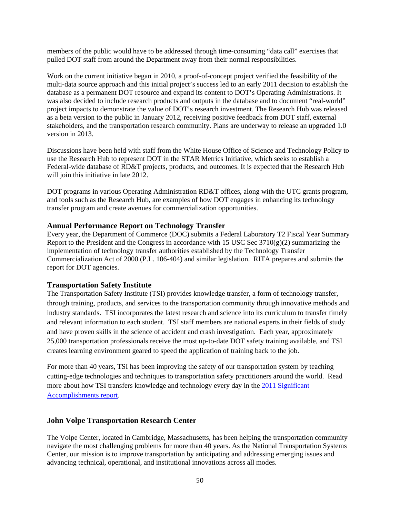members of the public would have to be addressed through time-consuming "data call" exercises that pulled DOT staff from around the Department away from their normal responsibilities.

Work on the current initiative began in 2010, a proof-of-concept project verified the feasibility of the multi-data source approach and this initial project's success led to an early 2011 decision to establish the database as a permanent DOT resource and expand its content to DOT's Operating Administrations. It was also decided to include research products and outputs in the database and to document "real-world" project impacts to demonstrate the value of DOT's research investment. The Research Hub was released as a beta version to the public in January 2012, receiving positive feedback from DOT staff, external stakeholders, and the transportation research community. Plans are underway to release an upgraded 1.0 version in 2013.

Discussions have been held with staff from the White House Office of Science and Technology Policy to use the Research Hub to represent DOT in the STAR Metrics Initiative, which seeks to establish a Federal-wide database of RD&T projects, products, and outcomes. It is expected that the Research Hub will join this initiative in late 2012.

DOT programs in various Operating Administration RD&T offices, along with the UTC grants program, and tools such as the Research Hub, are examples of how DOT engages in enhancing its technology transfer program and create avenues for commercialization opportunities.

#### **Annual Performance Report on Technology Transfer**

Every year, the Department of Commerce (DOC) submits a Federal Laboratory T2 Fiscal Year Summary Report to the President and the Congress in accordance with 15 USC Sec  $3710(g)(2)$  summarizing the implementation of technology transfer authorities established by the Technology Transfer Commercialization Act of 2000 (P.L. 106-404) and similar legislation. RITA prepares and submits the report for DOT agencies.

#### **Transportation Safety Institute**

The Transportation Safety Institute (TSI) provides knowledge transfer, a form of technology transfer, through training, products, and services to the transportation community through innovative methods and industry standards. TSI incorporates the latest research and science into its curriculum to transfer timely and relevant information to each student. TSI staff members are national experts in their fields of study and have proven skills in the science of accident and crash investigation. Each year, approximately 25,000 transportation professionals receive the most up-to-date DOT safety training available, and TSI creates learning environment geared to speed the application of training back to the job.

For more than 40 years, TSI has been improving the safety of our transportation system by teaching cutting-edge technologies and techniques to transportation safety practitioners around the world. Read more about how TSI transfers knowledge and technology every day in the 2011 Significant Accomplishments report.

#### **John Volpe Transportation Research Center**

The Volpe Center, located in Cambridge, Massachusetts, has been helping the transportation community navigate the most challenging problems for more than 40 years. As the National Transportation Systems Center, our mission is to improve transportation by anticipating and addressing emerging issues and advancing technical, operational, and institutional innovations across all modes.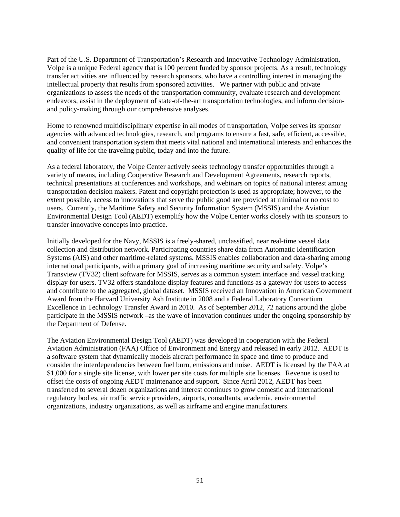Part of the U.S. Department of Transportation's Research and Innovative Technology Administration, Volpe is a unique Federal agency that is 100 percent funded by sponsor projects. As a result, technology transfer activities are influenced by research sponsors, who have a controlling interest in managing the intellectual property that results from sponsored activities. We partner with public and private organizations to assess the needs of the transportation community, evaluate research and development endeavors, assist in the deployment of state-of-the-art transportation technologies, and inform decisionand policy-making through our comprehensive analyses.

Home to renowned multidisciplinary expertise in all modes of transportation, Volpe serves its sponsor agencies with advanced technologies, research, and programs to ensure a fast, safe, efficient, accessible, and convenient transportation system that meets vital national and international interests and enhances the quality of life for the traveling public, today and into the future.

As a federal laboratory, the Volpe Center actively seeks technology transfer opportunities through a variety of means, including Cooperative Research and Development Agreements, research reports, technical presentations at conferences and workshops, and webinars on topics of national interest among transportation decision makers. Patent and copyright protection is used as appropriate; however, to the extent possible, access to innovations that serve the public good are provided at minimal or no cost to users. Currently, the Maritime Safety and Security Information System (MSSIS) and the Aviation Environmental Design Tool (AEDT) exemplify how the Volpe Center works closely with its sponsors to transfer innovative concepts into practice.

Initially developed for the Navy, MSSIS is a freely-shared, unclassified, near real-time vessel data collection and distribution network. Participating countries share data from Automatic Identification Systems (AIS) and other maritime-related systems. MSSIS enables collaboration and data-sharing among international participants, with a primary goal of increasing maritime security and safety. Volpe's Transview (TV32) client software for MSSIS, serves as a common system interface and vessel tracking display for users. TV32 offers standalone display features and functions as a gateway for users to access and contribute to the aggregated, global dataset. MSSIS received an Innovation in American Government Award from the Harvard University Ash Institute in 2008 and a Federal Laboratory Consortium Excellence in Technology Transfer Award in 2010. As of September 2012, 72 nations around the globe participate in the MSSIS network –as the wave of innovation continues under the ongoing sponsorship by the Department of Defense.

The Aviation Environmental Design Tool (AEDT) was developed in cooperation with the Federal Aviation Administration (FAA) Office of Environment and Energy and released in early 2012. AEDT is a software system that dynamically models aircraft performance in space and time to produce and consider the interdependencies between fuel burn, emissions and noise. AEDT is licensed by the FAA at \$1,000 for a single site license, with lower per site costs for multiple site licenses. Revenue is used to offset the costs of ongoing AEDT maintenance and support. Since April 2012, AEDT has been transferred to several dozen organizations and interest continues to grow domestic and international regulatory bodies, air traffic service providers, airports, consultants, academia, environmental organizations, industry organizations, as well as airframe and engine manufacturers.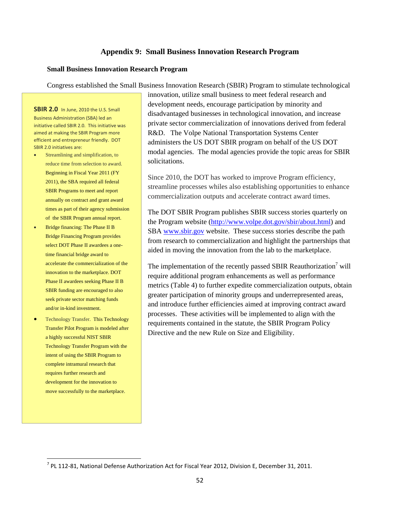# **Appendix 9: Small Business Innovation Research Program**

#### **Small Business Innovation Research Program**

Congress established the Small Business Innovation Research (SBIR) Program to stimulate technological

**SBIR 2.0** In June, 2010 the U.S. Small Business Administration (SBA) led an initiative called SBIR 2.0. This initiative was aimed at making the SBIR Program more efficient and entrepreneur friendly. DOT SBIR 2.0 initiatives are:

- Streamlining and simplification, to reduce time from selection to award. Beginning in Fiscal Year 2011 (FY 2011), the SBA required all federal SBIR Programs to meet and report annually on contract and grant award times as part of their agency submission of the SBIR Program annual report.
- Bridge financing: The Phase II B Bridge Financing Program provides select DOT Phase II awardees a onetime financial bridge award to accelerate the commercialization of the innovation to the marketplace. DOT Phase II awardees seeking Phase II B SBIR funding are encouraged to also seek private sector matching funds and/or in-kind investment.
- Technology Transfer. This Technology Transfer Pilot Program is modeled after a highly successful NIST SBIR Technology Transfer Program with the intent of using the SBIR Program to complete intramural research that requires further research and development for the innovation to move successfully to the marketplace.

innovation, utilize small business to meet federal research and development needs, encourage participation by minority and disadvantaged businesses in technological innovation, and increase private sector commercialization of innovations derived from federal R&D. The Volpe National Transportation Systems Center administers the US DOT SBIR program on behalf of the US DOT modal agencies. The modal agencies provide the topic areas for SBIR solicitations.

Since 2010, the DOT has worked to improve Program efficiency, streamline processes whiles also establishing opportunities to enhance commercialization outputs and accelerate contract award times.

The DOT SBIR Program publishes SBIR success stories quarterly on the Program website (http://www.volpe.dot.gov/sbir/about.html) and SBA www.sbir.gov website. These success stories describe the path from research to commercialization and highlight the partnerships that aided in moving the innovation from the lab to the marketplace.

The implementation of the recently passed SBIR Reauthorization<sup>7</sup> will require additional program enhancements as well as performance metrics (Table 4) to further expedite commercialization outputs, obtain greater participation of minority groups and underrepresented areas, and introduce further efficiencies aimed at improving contract award processes. These activities will be implemented to align with the requirements contained in the statute, the SBIR Program Policy Directive and the new Rule on Size and Eligibility.

 $^7$  PL 112-81, National Defense Authorization Act for Fiscal Year 2012, Division E, December 31, 2011.